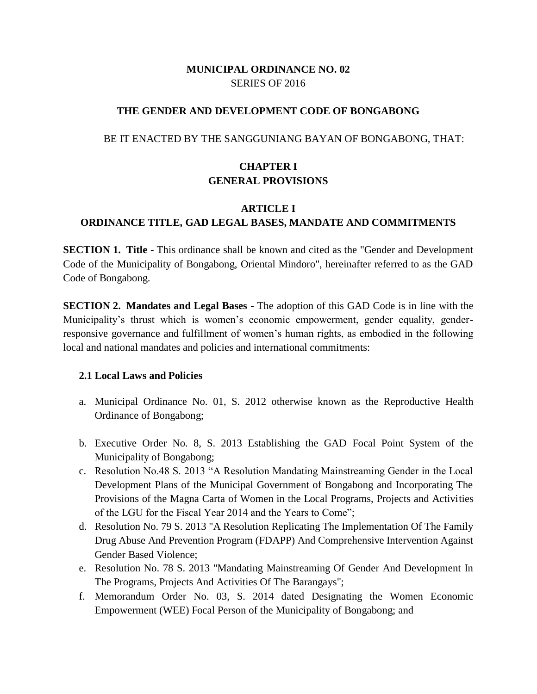### **MUNICIPAL ORDINANCE NO. 02** SERIES OF 2016

#### **THE GENDER AND DEVELOPMENT CODE OF BONGABONG**

#### BE IT ENACTED BY THE SANGGUNIANG BAYAN OF BONGABONG, THAT:

### **CHAPTER I GENERAL PROVISIONS**

### **ARTICLE I ORDINANCE TITLE, GAD LEGAL BASES, MANDATE AND COMMITMENTS**

**SECTION 1. Title** - This ordinance shall be known and cited as the "Gender and Development Code of the Municipality of Bongabong, Oriental Mindoro", hereinafter referred to as the GAD Code of Bongabong.

**SECTION 2. Mandates and Legal Bases** - The adoption of this GAD Code is in line with the Municipality's thrust which is women's economic empowerment, gender equality, genderresponsive governance and fulfillment of women's human rights, as embodied in the following local and national mandates and policies and international commitments:

### **2.1 Local Laws and Policies**

- a. Municipal Ordinance No. 01, S. 2012 otherwise known as the Reproductive Health Ordinance of Bongabong;
- b. Executive Order No. 8, S. 2013 Establishing the GAD Focal Point System of the Municipality of Bongabong;
- c. Resolution No.48 S. 2013 "A Resolution Mandating Mainstreaming Gender in the Local Development Plans of the Municipal Government of Bongabong and Incorporating The Provisions of the Magna Carta of Women in the Local Programs, Projects and Activities of the LGU for the Fiscal Year 2014 and the Years to Come";
- d. Resolution No. 79 S. 2013 "A Resolution Replicating The Implementation Of The Family Drug Abuse And Prevention Program (FDAPP) And Comprehensive Intervention Against Gender Based Violence;
- e. Resolution No. 78 S. 2013 "Mandating Mainstreaming Of Gender And Development In The Programs, Projects And Activities Of The Barangays";
- f. Memorandum Order No. 03, S. 2014 dated Designating the Women Economic Empowerment (WEE) Focal Person of the Municipality of Bongabong; and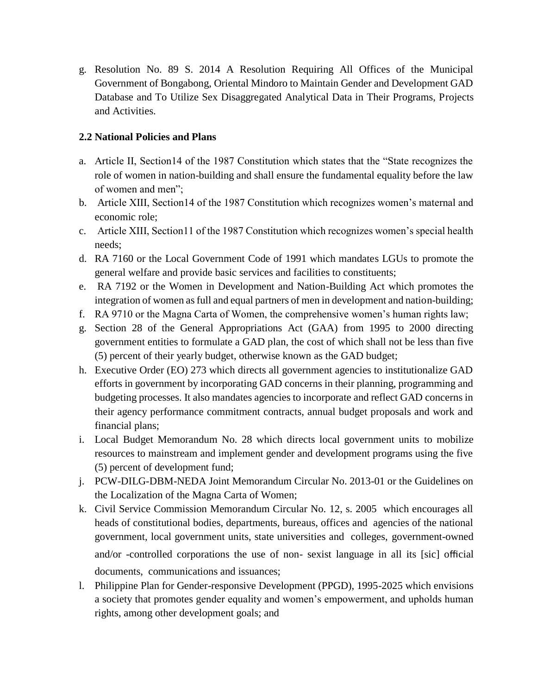g. Resolution No. 89 S. 2014 A Resolution Requiring All Offices of the Municipal Government of Bongabong, Oriental Mindoro to Maintain Gender and Development GAD Database and To Utilize Sex Disaggregated Analytical Data in Their Programs, Projects and Activities.

### **2.2 National Policies and Plans**

- a. Article II, Section14 of the 1987 Constitution which states that the "State recognizes the role of women in nation-building and shall ensure the fundamental equality before the law of women and men";
- b. Article XIII, Section14 of the 1987 Constitution which recognizes women's maternal and economic role;
- c. Article XIII, Section11 of the 1987 Constitution which recognizes women's special health needs;
- d. RA 7160 or the Local Government Code of 1991 which mandates LGUs to promote the general welfare and provide basic services and facilities to constituents;
- e. RA 7192 or the Women in Development and Nation-Building Act which promotes the integration of women as full and equal partners of men in development and nation-building;
- f. RA 9710 or the Magna Carta of Women, the comprehensive women's human rights law;
- g. Section 28 of the General Appropriations Act (GAA) from 1995 to 2000 directing government entities to formulate a GAD plan, the cost of which shall not be less than five (5) percent of their yearly budget, otherwise known as the GAD budget;
- h. Executive Order (EO) 273 which directs all government agencies to institutionalize GAD efforts in government by incorporating GAD concerns in their planning, programming and budgeting processes. It also mandates agencies to incorporate and reflect GAD concerns in their agency performance commitment contracts, annual budget proposals and work and financial plans;
- i. Local Budget Memorandum No. 28 which directs local government units to mobilize resources to mainstream and implement gender and development programs using the five (5) percent of development fund;
- j. PCW-DILG-DBM-NEDA Joint Memorandum Circular No. 2013-01 or the Guidelines on the Localization of the Magna Carta of Women;
- k. Civil Service Commission Memorandum Circular No. 12, s. 2005 which encourages all heads of constitutional bodies, departments, bureaus, offices and agencies of the national government, local government units, state universities and colleges, government-owned and/or -controlled corporations the use of non- sexist language in all its [sic] official documents, communications and issuances;
- l. Philippine Plan for Gender-responsive Development (PPGD), 1995-2025 which envisions a society that promotes gender equality and women's empowerment, and upholds human rights, among other development goals; and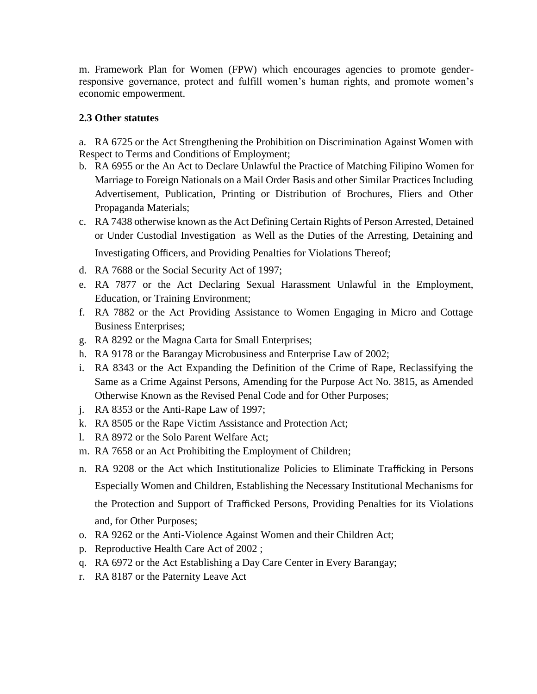m. Framework Plan for Women (FPW) which encourages agencies to promote genderresponsive governance, protect and fulfill women's human rights, and promote women's economic empowerment.

### **2.3 Other statutes**

a. RA 6725 or the Act Strengthening the Prohibition on Discrimination Against Women with Respect to Terms and Conditions of Employment;

- b. RA 6955 or the An Act to Declare Unlawful the Practice of Matching Filipino Women for Marriage to Foreign Nationals on a Mail Order Basis and other Similar Practices Including Advertisement, Publication, Printing or Distribution of Brochures, Fliers and Other Propaganda Materials;
- c. RA 7438 otherwise known as the Act Defining Certain Rights of Person Arrested, Detained or Under Custodial Investigation as Well as the Duties of the Arresting, Detaining and Investigating Officers, and Providing Penalties for Violations Thereof;
- d. RA 7688 or the Social Security Act of 1997;
- e. RA 7877 or the Act Declaring Sexual Harassment Unlawful in the Employment, Education, or Training Environment;
- f. RA 7882 or the Act Providing Assistance to Women Engaging in Micro and Cottage Business Enterprises;
- g. RA 8292 or the Magna Carta for Small Enterprises;
- h. RA 9178 or the Barangay Microbusiness and Enterprise Law of 2002;
- i. RA 8343 or the Act Expanding the Definition of the Crime of Rape, Reclassifying the Same as a Crime Against Persons, Amending for the Purpose Act No. 3815, as Amended Otherwise Known as the Revised Penal Code and for Other Purposes;
- j. RA 8353 or the Anti-Rape Law of 1997;
- k. RA 8505 or the Rape Victim Assistance and Protection Act;
- l. RA 8972 or the Solo Parent Welfare Act;
- m. RA 7658 or an Act Prohibiting the Employment of Children;
- n. RA 9208 or the Act which Institutionalize Policies to Eliminate Trafficking in Persons Especially Women and Children, Establishing the Necessary Institutional Mechanisms for the Protection and Support of Trafficked Persons, Providing Penalties for its Violations and, for Other Purposes;
- o. RA 9262 or the Anti-Violence Against Women and their Children Act;
- p. Reproductive Health Care Act of 2002 ;
- q. RA 6972 or the Act Establishing a Day Care Center in Every Barangay;
- r. RA 8187 or the Paternity Leave Act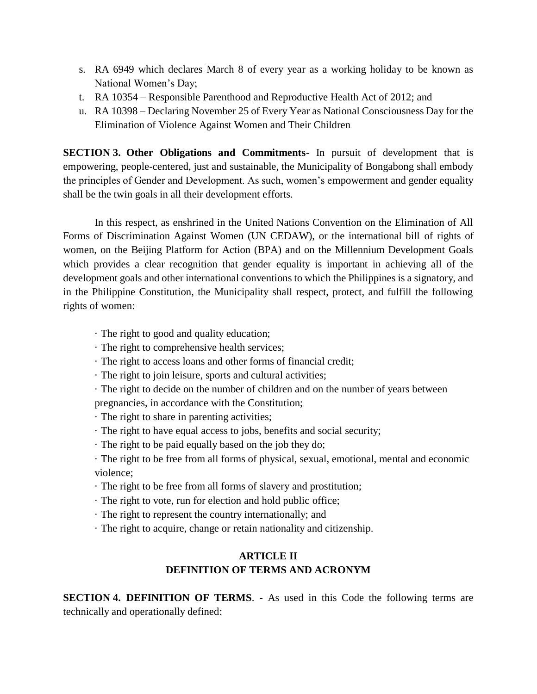- s. RA 6949 which declares March 8 of every year as a working holiday to be known as National Women's Day;
- t. RA 10354 Responsible Parenthood and Reproductive Health Act of 2012; and
- u. RA 10398 Declaring November 25 of Every Year as National Consciousness Day for the Elimination of Violence Against Women and Their Children

**SECTION 3. Other Obligations and Commitments**- In pursuit of development that is empowering, people-centered, just and sustainable, the Municipality of Bongabong shall embody the principles of Gender and Development. As such, women's empowerment and gender equality shall be the twin goals in all their development efforts.

In this respect, as enshrined in the United Nations Convention on the Elimination of All Forms of Discrimination Against Women (UN CEDAW), or the international bill of rights of women, on the Beijing Platform for Action (BPA) and on the Millennium Development Goals which provides a clear recognition that gender equality is important in achieving all of the development goals and other international conventions to which the Philippines is a signatory, and in the Philippine Constitution, the Municipality shall respect, protect, and fulfill the following rights of women:

- · The right to good and quality education;
- · The right to comprehensive health services;
- · The right to access loans and other forms of financial credit;
- · The right to join leisure, sports and cultural activities;
- · The right to decide on the number of children and on the number of years between

pregnancies, in accordance with the Constitution;

- · The right to share in parenting activities;
- · The right to have equal access to jobs, benefits and social security;
- · The right to be paid equally based on the job they do;

· The right to be free from all forms of physical, sexual, emotional, mental and economic violence;

- · The right to be free from all forms of slavery and prostitution;
- · The right to vote, run for election and hold public office;
- · The right to represent the country internationally; and
- · The right to acquire, change or retain nationality and citizenship.

# **ARTICLE II DEFINITION OF TERMS AND ACRONYM**

**SECTION 4. DEFINITION OF TERMS**. - As used in this Code the following terms are technically and operationally defined: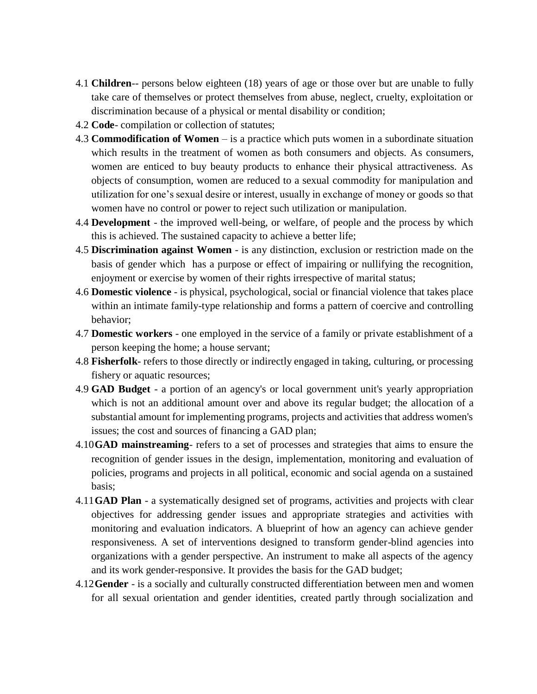- 4.1 **Children**-- persons below eighteen (18) years of age or those over but are unable to fully take care of themselves or protect themselves from abuse, neglect, cruelty, exploitation or discrimination because of a physical or mental disability or condition;
- 4.2 **Code** compilation or collection of statutes;
- 4.3 **Commodification of Women** is a practice which puts women in a subordinate situation which results in the treatment of women as both consumers and objects. As consumers, women are enticed to buy beauty products to enhance their physical attractiveness. As objects of consumption, women are reduced to a sexual commodity for manipulation and utilization for one's sexual desire or interest, usually in exchange of money or goods so that women have no control or power to reject such utilization or manipulation.
- 4.4 **Development** the improved well-being, or welfare, of people and the process by which this is achieved. The sustained capacity to achieve a better life;
- 4.5 **Discrimination against Women** is any distinction, exclusion or restriction made on the basis of gender which has a purpose or effect of impairing or nullifying the recognition, enjoyment or exercise by women of their rights irrespective of marital status;
- 4.6 **Domestic violence** is physical, psychological, social or financial violence that takes place within an intimate family-type relationship and forms a pattern of coercive and controlling behavior;
- 4.7 **Domestic workers** one employed in the service of a family or private establishment of a person keeping the home; a house servant;
- 4.8 **Fisherfolk** refers to those directly or indirectly engaged in taking, culturing, or processing fishery or aquatic resources;
- 4.9 **GAD Budget** a portion of an agency's or local government unit's yearly appropriation which is not an additional amount over and above its regular budget; the allocation of a substantial amount for implementing programs, projects and activities that address women's issues; the cost and sources of financing a GAD plan;
- 4.10**GAD mainstreaming** refers to a set of processes and strategies that aims to ensure the recognition of gender issues in the design, implementation, monitoring and evaluation of policies, programs and projects in all political, economic and social agenda on a sustained basis;
- 4.11**GAD Plan** a systematically designed set of programs, activities and projects with clear objectives for addressing gender issues and appropriate strategies and activities with monitoring and evaluation indicators. A blueprint of how an agency can achieve gender responsiveness. A set of interventions designed to transform gender-blind agencies into organizations with a gender perspective. An instrument to make all aspects of the agency and its work gender-responsive. It provides the basis for the GAD budget;
- 4.12**Gender** is a socially and culturally constructed differentiation between men and women for all sexual orientation and gender identities, created partly through socialization and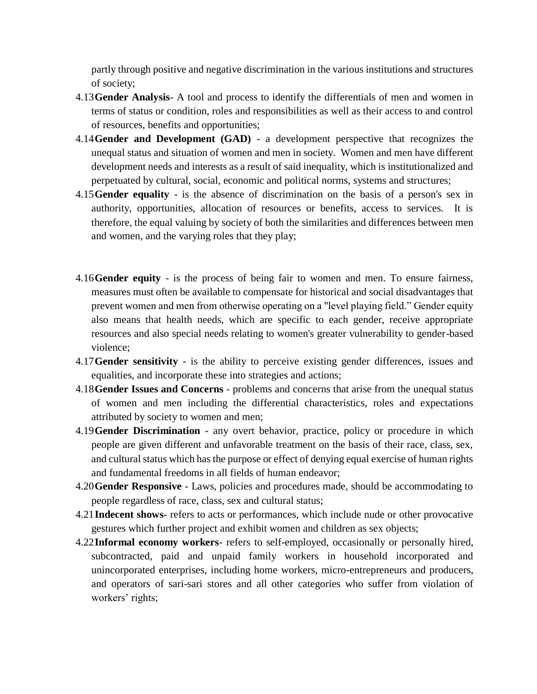partly through positive and negative discrimination in the various institutions and structures of society;

- 4.13**Gender Analysis** A tool and process to identify the differentials of men and women in terms of status or condition, roles and responsibilities as well as their access to and control of resources, benefits and opportunities;
- 4.14**Gender and Development (GAD)** a development perspective that recognizes the unequal status and situation of women and men in society. Women and men have different development needs and interests as a result of said inequality, which is institutionalized and perpetuated by cultural, social, economic and political norms, systems and structures;
- 4.15**Gender equality** is the absence of discrimination on the basis of a person's sex in authority, opportunities, allocation of resources or benefits, access to services. It is therefore, the equal valuing by society of both the similarities and differences between men and women, and the varying roles that they play;
- 4.16**Gender equity** is the process of being fair to women and men. To ensure fairness, measures must often be available to compensate for historical and social disadvantages that prevent women and men from otherwise operating on a "level playing field." Gender equity also means that health needs, which are specific to each gender, receive appropriate resources and also special needs relating to women's greater vulnerability to gender-based violence;
- 4.17**Gender sensitivity** is the ability to perceive existing gender differences, issues and equalities, and incorporate these into strategies and actions;
- 4.18**Gender Issues and Concerns** problems and concerns that arise from the unequal status of women and men including the differential characteristics, roles and expectations attributed by society to women and men;
- 4.19**Gender Discrimination** any overt behavior, practice, policy or procedure in which people are given different and unfavorable treatment on the basis of their race, class, sex, and cultural status which has the purpose or effect of denying equal exercise of human rights and fundamental freedoms in all fields of human endeavor;
- 4.20**Gender Responsive** Laws, policies and procedures made, should be accommodating to people regardless of race, class, sex and cultural status;
- 4.21**Indecent shows** refers to acts or performances, which include nude or other provocative gestures which further project and exhibit women and children as sex objects;
- 4.22**Informal economy workers** refers to self-employed, occasionally or personally hired, subcontracted, paid and unpaid family workers in household incorporated and unincorporated enterprises, including home workers, micro-entrepreneurs and producers, and operators of sari-sari stores and all other categories who suffer from violation of workers' rights;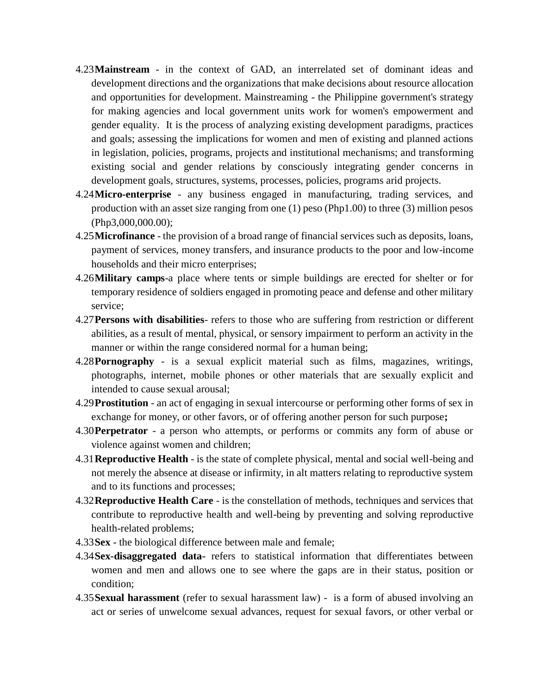- 4.23**Mainstream** in the context of GAD, an interrelated set of dominant ideas and development directions and the organizations that make decisions about resource allocation and opportunities for development. Mainstreaming - the Philippine government's strategy for making agencies and local government units work for women's empowerment and gender equality. It is the process of analyzing existing development paradigms, practices and goals; assessing the implications for women and men of existing and planned actions in legislation, policies, programs, projects and institutional mechanisms; and transforming existing social and gender relations by consciously integrating gender concerns in development goals, structures, systems, processes, policies, programs arid projects.
- 4.24**Micro-enterprise** any business engaged in manufacturing, trading services, and production with an asset size ranging from one (1) peso (Php1.00) to three (3) million pesos (Php3,000,000.00);
- 4.25**Microfinance** the provision of a broad range of financial services such as deposits, loans, payment of services, money transfers, and insurance products to the poor and low-income households and their micro enterprises;
- 4.26**Military camps**-a place where tents or simple buildings are erected for shelter or for temporary residence of soldiers engaged in promoting peace and defense and other military service;
- 4.27**Persons with disabilities** refers to those who are suffering from restriction or different abilities, as a result of mental, physical, or sensory impairment to perform an activity in the manner or within the range considered normal for a human being;
- 4.28**Pornography** is a sexual explicit material such as films, magazines, writings, photographs, internet, mobile phones or other materials that are sexually explicit and intended to cause sexual arousal;
- 4.29**Prostitution** an act of engaging in sexual intercourse or performing other forms of sex in exchange for money, or other favors, or of offering another person for such purpose**;**
- 4.30**Perpetrator** a person who attempts, or performs or commits any form of abuse or violence against women and children;
- 4.31**Reproductive Health** is the state of complete physical, mental and social well-being and not merely the absence at disease or infirmity, in alt matters relating to reproductive system and to its functions and processes;
- 4.32**Reproductive Health Care** is the constellation of methods, techniques and services that contribute to reproductive health and well-being by preventing and solving reproductive health-related problems;
- 4.33**Sex** the biological difference between male and female;
- 4.34**Sex-disaggregated data-** refers to statistical information that differentiates between women and men and allows one to see where the gaps are in their status, position or condition;
- 4.35**Sexual harassment** (refer to sexual harassment law) is a form of abused involving an act or series of unwelcome sexual advances, request for sexual favors, or other verbal or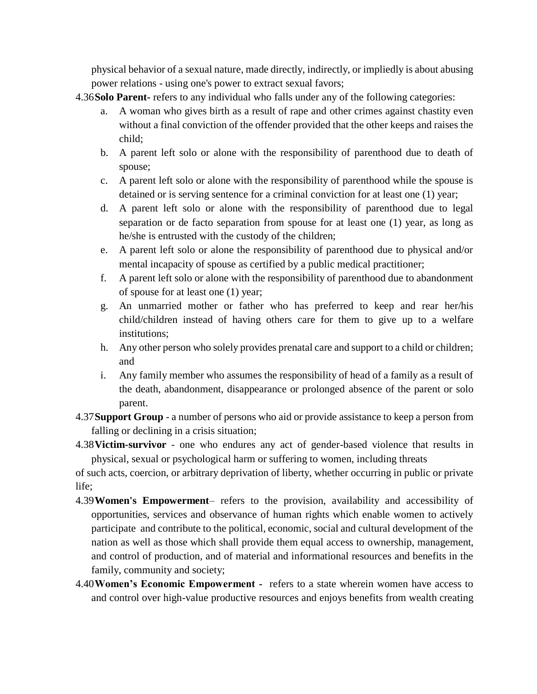physical behavior of a sexual nature, made directly, indirectly, or impliedly is about abusing power relations - using one's power to extract sexual favors;

- 4.36**Solo Parent-** refers to any individual who falls under any of the following categories:
	- a. A woman who gives birth as a result of rape and other crimes against chastity even without a final conviction of the offender provided that the other keeps and raises the child;
	- b. A parent left solo or alone with the responsibility of parenthood due to death of spouse;
	- c. A parent left solo or alone with the responsibility of parenthood while the spouse is detained or is serving sentence for a criminal conviction for at least one (1) year;
	- d. A parent left solo or alone with the responsibility of parenthood due to legal separation or de facto separation from spouse for at least one (1) year, as long as he/she is entrusted with the custody of the children;
	- e. A parent left solo or alone the responsibility of parenthood due to physical and/or mental incapacity of spouse as certified by a public medical practitioner;
	- f. A parent left solo or alone with the responsibility of parenthood due to abandonment of spouse for at least one (1) year;
	- g. An unmarried mother or father who has preferred to keep and rear her/his child/children instead of having others care for them to give up to a welfare institutions;
	- h. Any other person who solely provides prenatal care and support to a child or children; and
	- i. Any family member who assumes the responsibility of head of a family as a result of the death, abandonment, disappearance or prolonged absence of the parent or solo parent.
- 4.37**Support Group** a number of persons who aid or provide assistance to keep a person from falling or declining in a crisis situation;
- 4.38**Victim-survivor** one who endures any act of gender-based violence that results in physical, sexual or psychological harm or suffering to women, including threats

of such acts, coercion, or arbitrary deprivation of liberty, whether occurring in public or private life;

- 4.39**Women's Empowerment** refers to the provision, availability and accessibility of opportunities, services and observance of human rights which enable women to actively participate and contribute to the political, economic, social and cultural development of the nation as well as those which shall provide them equal access to ownership, management, and control of production, and of material and informational resources and benefits in the family, community and society;
- 4.40**Women's Economic Empowerment -** refers to a state wherein women have access to and control over high-value productive resources and enjoys benefits from wealth creating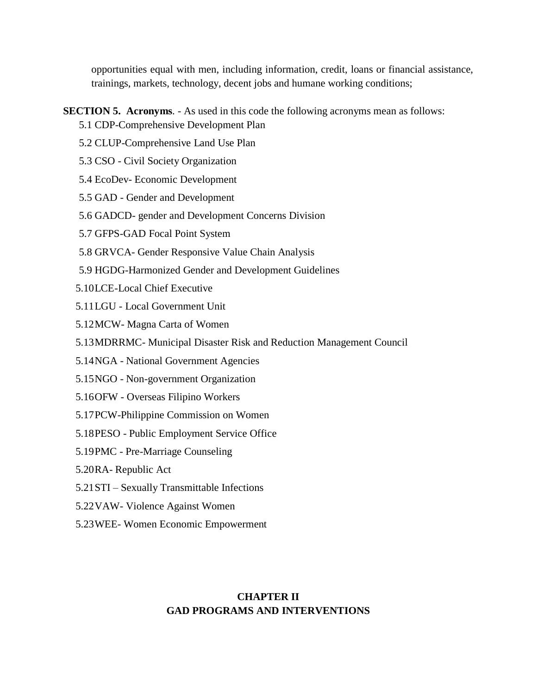opportunities equal with men, including information, credit, loans or financial assistance, trainings, markets, technology, decent jobs and humane working conditions;

- **SECTION 5. Acronyms**. As used in this code the following acronyms mean as follows:
	- 5.1 CDP-Comprehensive Development Plan
	- 5.2 CLUP-Comprehensive Land Use Plan
	- 5.3 CSO Civil Society Organization
	- 5.4 EcoDev- Economic Development
	- 5.5 GAD Gender and Development
	- 5.6 GADCD- gender and Development Concerns Division
	- 5.7 GFPS-GAD Focal Point System
	- 5.8 GRVCA- Gender Responsive Value Chain Analysis
	- 5.9 HGDG-Harmonized Gender and Development Guidelines
	- 5.10LCE-Local Chief Executive
	- 5.11LGU Local Government Unit
	- 5.12MCW- Magna Carta of Women
	- 5.13MDRRMC- Municipal Disaster Risk and Reduction Management Council
	- 5.14NGA National Government Agencies
	- 5.15NGO Non-government Organization
	- 5.16OFW Overseas Filipino Workers
	- 5.17PCW-Philippine Commission on Women
	- 5.18PESO Public Employment Service Office
	- 5.19PMC Pre-Marriage Counseling
	- 5.20RA- Republic Act
	- 5.21STI Sexually Transmittable Infections
	- 5.22VAW- Violence Against Women
	- 5.23WEE- Women Economic Empowerment

### **CHAPTER II GAD PROGRAMS AND INTERVENTIONS**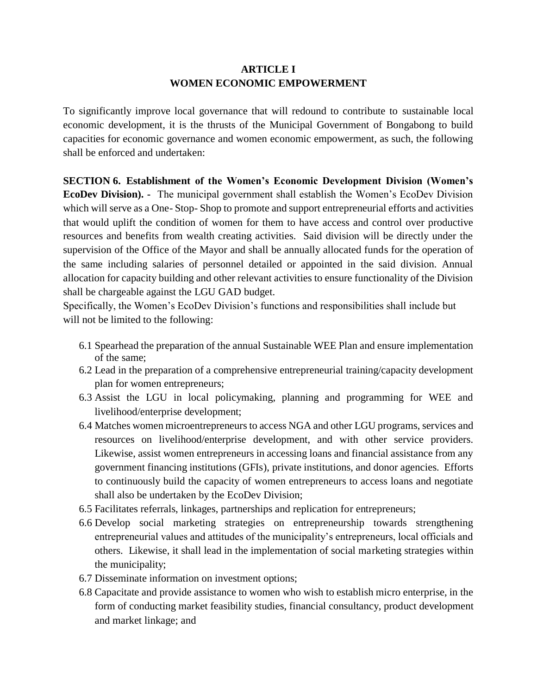### **ARTICLE I WOMEN ECONOMIC EMPOWERMENT**

To significantly improve local governance that will redound to contribute to sustainable local economic development, it is the thrusts of the Municipal Government of Bongabong to build capacities for economic governance and women economic empowerment, as such, the following shall be enforced and undertaken:

**SECTION 6. Establishment of the Women's Economic Development Division (Women's EcoDev Division). -** The municipal government shall establish the Women's EcoDev Division which will serve as a One- Stop- Shop to promote and support entrepreneurial efforts and activities that would uplift the condition of women for them to have access and control over productive resources and benefits from wealth creating activities. Said division will be directly under the supervision of the Office of the Mayor and shall be annually allocated funds for the operation of the same including salaries of personnel detailed or appointed in the said division. Annual allocation for capacity building and other relevant activities to ensure functionality of the Division shall be chargeable against the LGU GAD budget.

Specifically, the Women's EcoDev Division's functions and responsibilities shall include but will not be limited to the following:

- 6.1 Spearhead the preparation of the annual Sustainable WEE Plan and ensure implementation of the same;
- 6.2 Lead in the preparation of a comprehensive entrepreneurial training/capacity development plan for women entrepreneurs;
- 6.3 Assist the LGU in local policymaking, planning and programming for WEE and livelihood/enterprise development;
- 6.4 Matches women microentrepreneurs to access NGA and other LGU programs, services and resources on livelihood/enterprise development, and with other service providers. Likewise, assist women entrepreneurs in accessing loans and financial assistance from any government financing institutions (GFIs), private institutions, and donor agencies. Efforts to continuously build the capacity of women entrepreneurs to access loans and negotiate shall also be undertaken by the EcoDev Division;
- 6.5 Facilitates referrals, linkages, partnerships and replication for entrepreneurs;
- 6.6 Develop social marketing strategies on entrepreneurship towards strengthening entrepreneurial values and attitudes of the municipality's entrepreneurs, local officials and others. Likewise, it shall lead in the implementation of social marketing strategies within the municipality;
- 6.7 Disseminate information on investment options;
- 6.8 Capacitate and provide assistance to women who wish to establish micro enterprise, in the form of conducting market feasibility studies, financial consultancy, product development and market linkage; and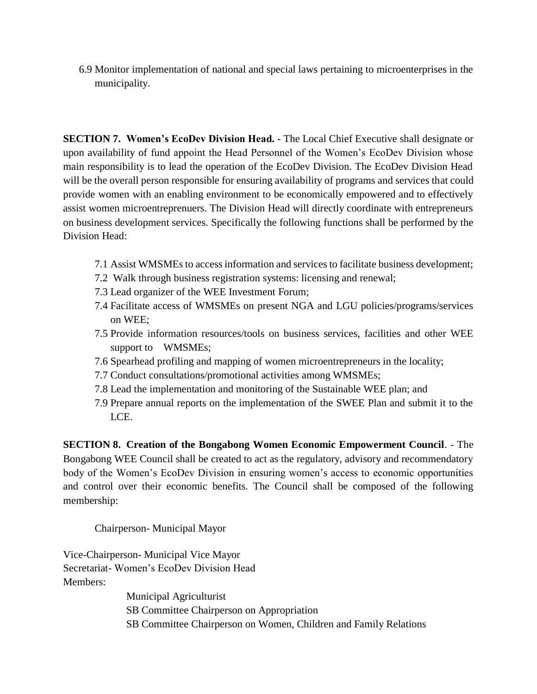6.9 Monitor implementation of national and special laws pertaining to microenterprises in the municipality.

**SECTION 7. Women's EcoDev Division Head. -** The Local Chief Executive shall designate or upon availability of fund appoint the Head Personnel of the Women's EcoDev Division whose main responsibility is to lead the operation of the EcoDev Division. The EcoDev Division Head will be the overall person responsible for ensuring availability of programs and services that could provide women with an enabling environment to be economically empowered and to effectively assist women microentreprenuers. The Division Head will directly coordinate with entrepreneurs on business development services. Specifically the following functions shall be performed by the Division Head:

- 7.1 Assist WMSMEs to access information and services to facilitate business development;
- 7.2 Walk through business registration systems: licensing and renewal;
- 7.3 Lead organizer of the WEE Investment Forum;
- 7.4 Facilitate access of WMSMEs on present NGA and LGU policies/programs/services on WEE;
- 7.5 Provide information resources/tools on business services, facilities and other WEE support to WMSMEs;
- 7.6 Spearhead profiling and mapping of women microentrepreneurs in the locality;
- 7.7 Conduct consultations/promotional activities among WMSMEs;
- 7.8 Lead the implementation and monitoring of the Sustainable WEE plan; and
- 7.9 Prepare annual reports on the implementation of the SWEE Plan and submit it to the LCE.

**SECTION 8. Creation of the Bongabong Women Economic Empowerment Council**. - The Bongabong WEE Council shall be created to act as the regulatory, advisory and recommendatory body of the Women's EcoDev Division in ensuring women's access to economic opportunities and control over their economic benefits. The Council shall be composed of the following membership:

Chairperson- Municipal Mayor

Vice-Chairperson- Municipal Vice Mayor Secretariat- Women's EcoDev Division Head Members:

> Municipal Agriculturist SB Committee Chairperson on Appropriation SB Committee Chairperson on Women, Children and Family Relations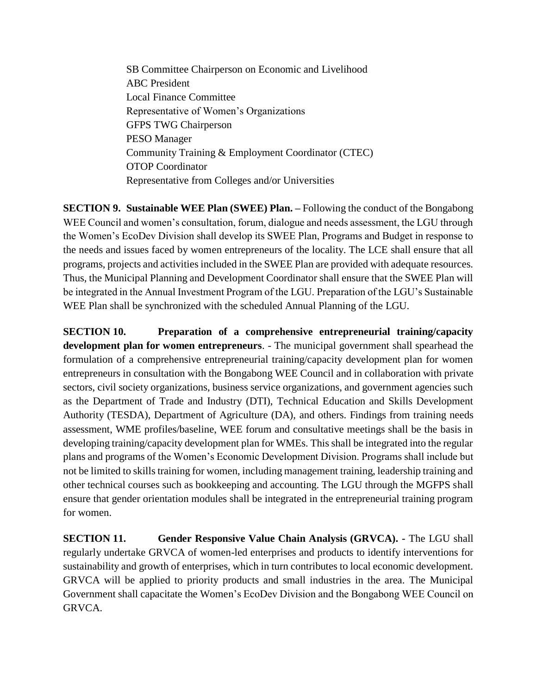SB Committee Chairperson on Economic and Livelihood ABC President Local Finance Committee Representative of Women's Organizations GFPS TWG Chairperson PESO Manager Community Training & Employment Coordinator (CTEC) OTOP Coordinator Representative from Colleges and/or Universities

**SECTION 9. Sustainable WEE Plan (SWEE) Plan. –** Following the conduct of the Bongabong WEE Council and women's consultation, forum, dialogue and needs assessment, the LGU through the Women's EcoDev Division shall develop its SWEE Plan, Programs and Budget in response to the needs and issues faced by women entrepreneurs of the locality. The LCE shall ensure that all programs, projects and activities included in the SWEE Plan are provided with adequate resources. Thus, the Municipal Planning and Development Coordinator shall ensure that the SWEE Plan will be integrated in the Annual Investment Program of the LGU. Preparation of the LGU's Sustainable WEE Plan shall be synchronized with the scheduled Annual Planning of the LGU.

**SECTION 10. Preparation of a comprehensive entrepreneurial training/capacity development plan for women entrepreneurs**. - The municipal government shall spearhead the formulation of a comprehensive entrepreneurial training/capacity development plan for women entrepreneurs in consultation with the Bongabong WEE Council and in collaboration with private sectors, civil society organizations, business service organizations, and government agencies such as the Department of Trade and Industry (DTI), Technical Education and Skills Development Authority (TESDA), Department of Agriculture (DA), and others. Findings from training needs assessment, WME profiles/baseline, WEE forum and consultative meetings shall be the basis in developing training/capacity development plan for WMEs. This shall be integrated into the regular plans and programs of the Women's Economic Development Division. Programs shall include but not be limited to skills training for women, including management training, leadership training and other technical courses such as bookkeeping and accounting. The LGU through the MGFPS shall ensure that gender orientation modules shall be integrated in the entrepreneurial training program for women.

**SECTION 11. Gender Responsive Value Chain Analysis (GRVCA).** - The LGU shall regularly undertake GRVCA of women-led enterprises and products to identify interventions for sustainability and growth of enterprises, which in turn contributes to local economic development. GRVCA will be applied to priority products and small industries in the area. The Municipal Government shall capacitate the Women's EcoDev Division and the Bongabong WEE Council on GRVCA.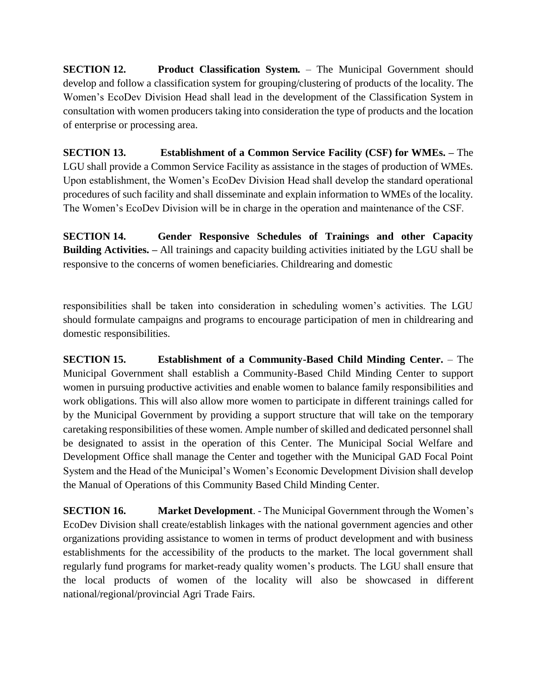**SECTION 12. Product Classification System.** – The Municipal Government should develop and follow a classification system for grouping/clustering of products of the locality. The Women's EcoDev Division Head shall lead in the development of the Classification System in consultation with women producers taking into consideration the type of products and the location of enterprise or processing area.

**SECTION 13. Establishment of a Common Service Facility (CSF) for WMEs. –** The LGU shall provide a Common Service Facility as assistance in the stages of production of WMEs. Upon establishment, the Women's EcoDev Division Head shall develop the standard operational procedures of such facility and shall disseminate and explain information to WMEs of the locality. The Women's EcoDev Division will be in charge in the operation and maintenance of the CSF.

**SECTION 14. Gender Responsive Schedules of Trainings and other Capacity Building Activities. –** All trainings and capacity building activities initiated by the LGU shall be responsive to the concerns of women beneficiaries. Childrearing and domestic

responsibilities shall be taken into consideration in scheduling women's activities. The LGU should formulate campaigns and programs to encourage participation of men in childrearing and domestic responsibilities.

**SECTION 15. Establishment of a Community-Based Child Minding Center.** – The Municipal Government shall establish a Community-Based Child Minding Center to support women in pursuing productive activities and enable women to balance family responsibilities and work obligations. This will also allow more women to participate in different trainings called for by the Municipal Government by providing a support structure that will take on the temporary caretaking responsibilities of these women. Ample number of skilled and dedicated personnel shall be designated to assist in the operation of this Center. The Municipal Social Welfare and Development Office shall manage the Center and together with the Municipal GAD Focal Point System and the Head of the Municipal's Women's Economic Development Division shall develop the Manual of Operations of this Community Based Child Minding Center.

**SECTION 16. Market Development**. - The Municipal Government through the Women's EcoDev Division shall create/establish linkages with the national government agencies and other organizations providing assistance to women in terms of product development and with business establishments for the accessibility of the products to the market. The local government shall regularly fund programs for market-ready quality women's products. The LGU shall ensure that the local products of women of the locality will also be showcased in different national/regional/provincial Agri Trade Fairs.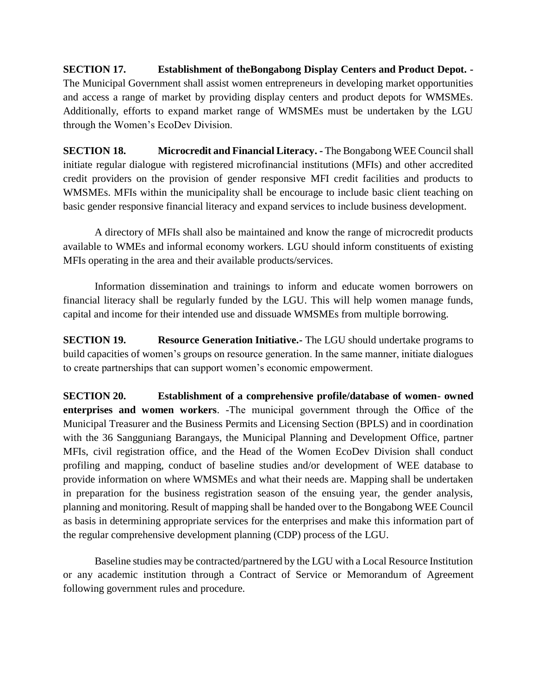**SECTION 17. Establishment of theBongabong Display Centers and Product Depot. -** The Municipal Government shall assist women entrepreneurs in developing market opportunities and access a range of market by providing display centers and product depots for WMSMEs. Additionally, efforts to expand market range of WMSMEs must be undertaken by the LGU through the Women's EcoDev Division.

**SECTION 18. Microcredit and Financial Literacy. -** The Bongabong WEE Council shall initiate regular dialogue with registered microfinancial institutions (MFIs) and other accredited credit providers on the provision of gender responsive MFI credit facilities and products to WMSMEs. MFIs within the municipality shall be encourage to include basic client teaching on basic gender responsive financial literacy and expand services to include business development.

A directory of MFIs shall also be maintained and know the range of microcredit products available to WMEs and informal economy workers. LGU should inform constituents of existing MFIs operating in the area and their available products/services.

Information dissemination and trainings to inform and educate women borrowers on financial literacy shall be regularly funded by the LGU. This will help women manage funds, capital and income for their intended use and dissuade WMSMEs from multiple borrowing.

**SECTION 19. Resource Generation Initiative.-** The LGU should undertake programs to build capacities of women's groups on resource generation. In the same manner, initiate dialogues to create partnerships that can support women's economic empowerment.

**SECTION 20. Establishment of a comprehensive profile/database of women- owned enterprises and women workers**. -The municipal government through the Office of the Municipal Treasurer and the Business Permits and Licensing Section (BPLS) and in coordination with the 36 Sangguniang Barangays, the Municipal Planning and Development Office, partner MFIs, civil registration office, and the Head of the Women EcoDev Division shall conduct profiling and mapping, conduct of baseline studies and/or development of WEE database to provide information on where WMSMEs and what their needs are. Mapping shall be undertaken in preparation for the business registration season of the ensuing year, the gender analysis, planning and monitoring. Result of mapping shall be handed over to the Bongabong WEE Council as basis in determining appropriate services for the enterprises and make this information part of the regular comprehensive development planning (CDP) process of the LGU.

Baseline studies may be contracted/partnered by the LGU with a Local Resource Institution or any academic institution through a Contract of Service or Memorandum of Agreement following government rules and procedure.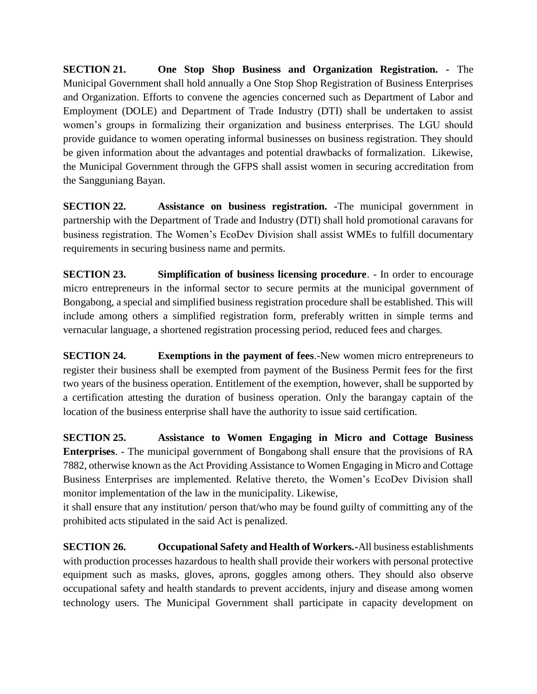**SECTION 21. One Stop Shop Business and Organization Registration. -** The Municipal Government shall hold annually a One Stop Shop Registration of Business Enterprises and Organization. Efforts to convene the agencies concerned such as Department of Labor and Employment (DOLE) and Department of Trade Industry (DTI) shall be undertaken to assist women's groups in formalizing their organization and business enterprises. The LGU should provide guidance to women operating informal businesses on business registration. They should be given information about the advantages and potential drawbacks of formalization. Likewise, the Municipal Government through the GFPS shall assist women in securing accreditation from the Sangguniang Bayan.

**SECTION 22.** Assistance on business registration. The municipal government in partnership with the Department of Trade and Industry (DTI) shall hold promotional caravans for business registration. The Women's EcoDev Division shall assist WMEs to fulfill documentary requirements in securing business name and permits.

**SECTION 23. Simplification of business licensing procedure**. - In order to encourage micro entrepreneurs in the informal sector to secure permits at the municipal government of Bongabong, a special and simplified business registration procedure shall be established. This will include among others a simplified registration form, preferably written in simple terms and vernacular language, a shortened registration processing period, reduced fees and charges.

**SECTION 24. Exemptions in the payment of fees**.-New women micro entrepreneurs to register their business shall be exempted from payment of the Business Permit fees for the first two years of the business operation. Entitlement of the exemption, however, shall be supported by a certification attesting the duration of business operation. Only the barangay captain of the location of the business enterprise shall have the authority to issue said certification.

**SECTION 25. Assistance to Women Engaging in Micro and Cottage Business Enterprises**. - The municipal government of Bongabong shall ensure that the provisions of RA 7882, otherwise known as the Act Providing Assistance to Women Engaging in Micro and Cottage Business Enterprises are implemented. Relative thereto, the Women's EcoDev Division shall monitor implementation of the law in the municipality. Likewise,

it shall ensure that any institution/ person that/who may be found guilty of committing any of the prohibited acts stipulated in the said Act is penalized.

**SECTION 26. Occupational Safety and Health of Workers.-**All business establishments with production processes hazardous to health shall provide their workers with personal protective equipment such as masks, gloves, aprons, goggles among others. They should also observe occupational safety and health standards to prevent accidents, injury and disease among women technology users. The Municipal Government shall participate in capacity development on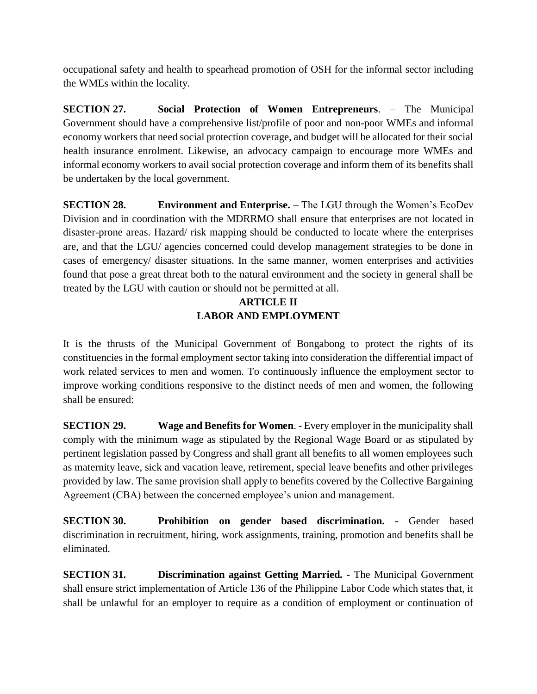occupational safety and health to spearhead promotion of OSH for the informal sector including the WMEs within the locality.

**SECTION 27. Social Protection of Women Entrepreneurs**. – The Municipal Government should have a comprehensive list/profile of poor and non-poor WMEs and informal economy workers that need social protection coverage, and budget will be allocated for their social health insurance enrolment. Likewise, an advocacy campaign to encourage more WMEs and informal economy workers to avail social protection coverage and inform them of its benefits shall be undertaken by the local government.

**SECTION 28. Environment and Enterprise.** – The LGU through the Women's EcoDev Division and in coordination with the MDRRMO shall ensure that enterprises are not located in disaster-prone areas. Hazard/ risk mapping should be conducted to locate where the enterprises are, and that the LGU/ agencies concerned could develop management strategies to be done in cases of emergency/ disaster situations. In the same manner, women enterprises and activities found that pose a great threat both to the natural environment and the society in general shall be treated by the LGU with caution or should not be permitted at all.

# **ARTICLE II LABOR AND EMPLOYMENT**

It is the thrusts of the Municipal Government of Bongabong to protect the rights of its constituencies in the formal employment sector taking into consideration the differential impact of work related services to men and women. To continuously influence the employment sector to improve working conditions responsive to the distinct needs of men and women, the following shall be ensured:

**SECTION 29. Wage and Benefits for Women**. - Every employer in the municipality shall comply with the minimum wage as stipulated by the Regional Wage Board or as stipulated by pertinent legislation passed by Congress and shall grant all benefits to all women employees such as maternity leave, sick and vacation leave, retirement, special leave benefits and other privileges provided by law. The same provision shall apply to benefits covered by the Collective Bargaining Agreement (CBA) between the concerned employee's union and management.

**SECTION 30. Prohibition on gender based discrimination. -** Gender based discrimination in recruitment, hiring, work assignments, training, promotion and benefits shall be eliminated.

**SECTION 31. Discrimination against Getting Married. -** The Municipal Government shall ensure strict implementation of Article 136 of the Philippine Labor Code which states that, it shall be unlawful for an employer to require as a condition of employment or continuation of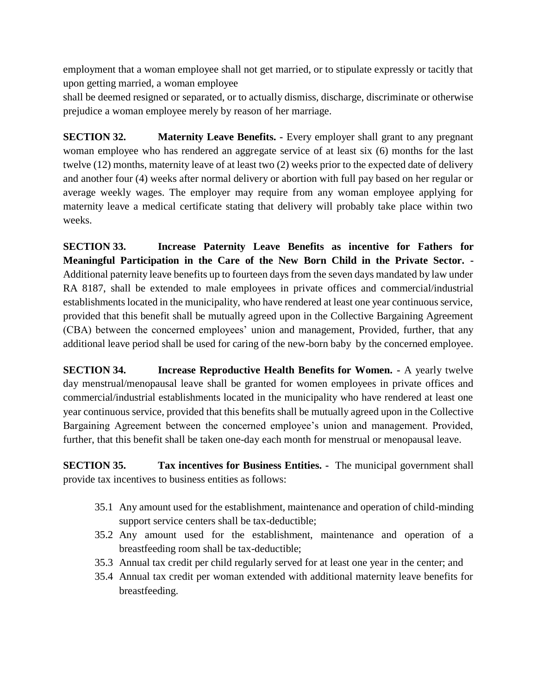employment that a woman employee shall not get married, or to stipulate expressly or tacitly that upon getting married, a woman employee

shall be deemed resigned or separated, or to actually dismiss, discharge, discriminate or otherwise prejudice a woman employee merely by reason of her marriage.

**SECTION 32. Maternity Leave Benefits. -** Every employer shall grant to any pregnant woman employee who has rendered an aggregate service of at least six (6) months for the last twelve (12) months, maternity leave of at least two (2) weeks prior to the expected date of delivery and another four (4) weeks after normal delivery or abortion with full pay based on her regular or average weekly wages. The employer may require from any woman employee applying for maternity leave a medical certificate stating that delivery will probably take place within two weeks.

**SECTION 33. Increase Paternity Leave Benefits as incentive for Fathers for Meaningful Participation in the Care of the New Born Child in the Private Sector. -** Additional paternity leave benefits up to fourteen days from the seven days mandated by law under RA 8187, shall be extended to male employees in private offices and commercial/industrial establishments located in the municipality, who have rendered at least one year continuous service, provided that this benefit shall be mutually agreed upon in the Collective Bargaining Agreement (CBA) between the concerned employees' union and management, Provided, further, that any additional leave period shall be used for caring of the new-born baby by the concerned employee.

**SECTION 34. Increase Reproductive Health Benefits for Women. -** A yearly twelve day menstrual/menopausal leave shall be granted for women employees in private offices and commercial/industrial establishments located in the municipality who have rendered at least one year continuous service, provided that this benefits shall be mutually agreed upon in the Collective Bargaining Agreement between the concerned employee's union and management. Provided, further, that this benefit shall be taken one-day each month for menstrual or menopausal leave.

**SECTION 35. Tax incentives for Business Entities. -** The municipal government shall provide tax incentives to business entities as follows:

- 35.1 Any amount used for the establishment, maintenance and operation of child-minding support service centers shall be tax-deductible;
- 35.2 Any amount used for the establishment, maintenance and operation of a breastfeeding room shall be tax-deductible;
- 35.3 Annual tax credit per child regularly served for at least one year in the center; and
- 35.4 Annual tax credit per woman extended with additional maternity leave benefits for breastfeeding.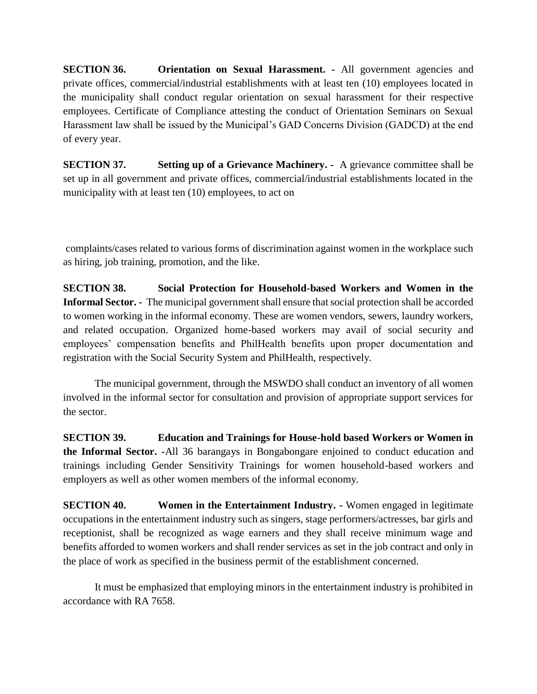**SECTION 36. Orientation on Sexual Harassment. -** All government agencies and private offices, commercial/industrial establishments with at least ten (10) employees located in the municipality shall conduct regular orientation on sexual harassment for their respective employees. Certificate of Compliance attesting the conduct of Orientation Seminars on Sexual Harassment law shall be issued by the Municipal's GAD Concerns Division (GADCD) at the end of every year.

**SECTION 37. Setting up of a Grievance Machinery. -** A grievance committee shall be set up in all government and private offices, commercial/industrial establishments located in the municipality with at least ten (10) employees, to act on

complaints/cases related to various forms of discrimination against women in the workplace such as hiring, job training, promotion, and the like.

**SECTION 38. Social Protection for Household-based Workers and Women in the Informal Sector. -** The municipal government shall ensure that social protection shall be accorded to women working in the informal economy. These are women vendors, sewers, laundry workers, and related occupation. Organized home-based workers may avail of social security and employees' compensation benefits and PhilHealth benefits upon proper documentation and registration with the Social Security System and PhilHealth, respectively.

The municipal government, through the MSWDO shall conduct an inventory of all women involved in the informal sector for consultation and provision of appropriate support services for the sector.

**SECTION 39. Education and Trainings for House-hold based Workers or Women in the Informal Sector. -**All 36 barangays in Bongabongare enjoined to conduct education and trainings including Gender Sensitivity Trainings for women household-based workers and employers as well as other women members of the informal economy.

**SECTION 40. Women in the Entertainment Industry. -** Women engaged in legitimate occupations in the entertainment industry such as singers, stage performers/actresses, bar girls and receptionist, shall be recognized as wage earners and they shall receive minimum wage and benefits afforded to women workers and shall render services as set in the job contract and only in the place of work as specified in the business permit of the establishment concerned.

It must be emphasized that employing minors in the entertainment industry is prohibited in accordance with RA 7658.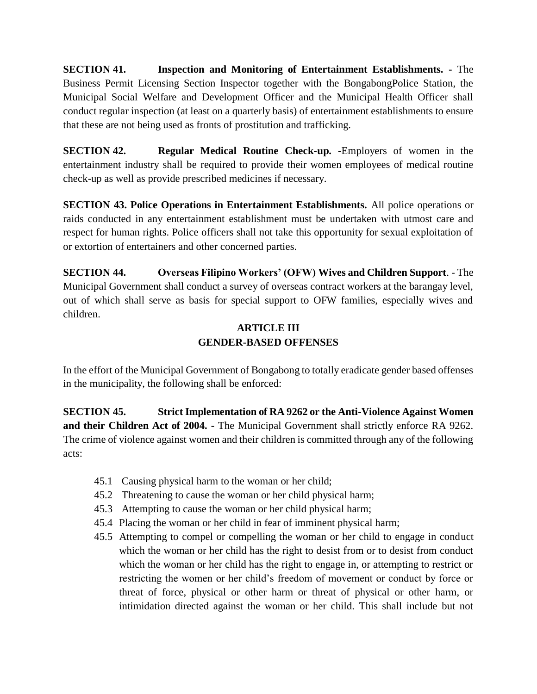**SECTION 41. Inspection and Monitoring of Entertainment Establishments. -** The Business Permit Licensing Section Inspector together with the BongabongPolice Station, the Municipal Social Welfare and Development Officer and the Municipal Health Officer shall conduct regular inspection (at least on a quarterly basis) of entertainment establishments to ensure that these are not being used as fronts of prostitution and trafficking.

**SECTION 42. Regular Medical Routine Check-up.** -Employers of women in the entertainment industry shall be required to provide their women employees of medical routine check-up as well as provide prescribed medicines if necessary.

**SECTION 43. Police Operations in Entertainment Establishments.** All police operations or raids conducted in any entertainment establishment must be undertaken with utmost care and respect for human rights. Police officers shall not take this opportunity for sexual exploitation of or extortion of entertainers and other concerned parties.

**SECTION 44. Overseas Filipino Workers' (OFW) Wives and Children Support**. - The Municipal Government shall conduct a survey of overseas contract workers at the barangay level, out of which shall serve as basis for special support to OFW families, especially wives and children.

# **ARTICLE III GENDER-BASED OFFENSES**

In the effort of the Municipal Government of Bongabong to totally eradicate gender based offenses in the municipality, the following shall be enforced:

**SECTION 45. Strict Implementation of RA 9262 or the Anti-Violence Against Women and their Children Act of 2004. -** The Municipal Government shall strictly enforce RA 9262. The crime of violence against women and their children is committed through any of the following acts:

- 45.1 Causing physical harm to the woman or her child;
- 45.2 Threatening to cause the woman or her child physical harm;
- 45.3 Attempting to cause the woman or her child physical harm;
- 45.4 Placing the woman or her child in fear of imminent physical harm;
- 45.5 Attempting to compel or compelling the woman or her child to engage in conduct which the woman or her child has the right to desist from or to desist from conduct which the woman or her child has the right to engage in, or attempting to restrict or restricting the women or her child's freedom of movement or conduct by force or threat of force, physical or other harm or threat of physical or other harm, or intimidation directed against the woman or her child. This shall include but not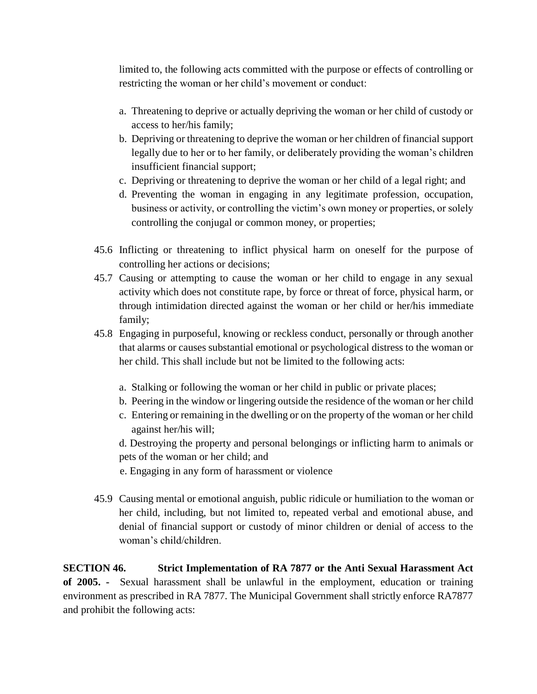limited to, the following acts committed with the purpose or effects of controlling or restricting the woman or her child's movement or conduct:

- a. Threatening to deprive or actually depriving the woman or her child of custody or access to her/his family;
- b. Depriving or threatening to deprive the woman or her children of financial support legally due to her or to her family, or deliberately providing the woman's children insufficient financial support;
- c. Depriving or threatening to deprive the woman or her child of a legal right; and
- d. Preventing the woman in engaging in any legitimate profession, occupation, business or activity, or controlling the victim's own money or properties, or solely controlling the conjugal or common money, or properties;
- 45.6 Inflicting or threatening to inflict physical harm on oneself for the purpose of controlling her actions or decisions;
- 45.7 Causing or attempting to cause the woman or her child to engage in any sexual activity which does not constitute rape, by force or threat of force, physical harm, or through intimidation directed against the woman or her child or her/his immediate family;
- 45.8 Engaging in purposeful, knowing or reckless conduct, personally or through another that alarms or causes substantial emotional or psychological distress to the woman or her child. This shall include but not be limited to the following acts:
	- a. Stalking or following the woman or her child in public or private places;
	- b. Peering in the window or lingering outside the residence of the woman or her child
	- c. Entering or remaining in the dwelling or on the property of the woman or her child against her/his will;
	- d. Destroying the property and personal belongings or inflicting harm to animals or pets of the woman or her child; and
	- e. Engaging in any form of harassment or violence
- 45.9 Causing mental or emotional anguish, public ridicule or humiliation to the woman or her child, including, but not limited to, repeated verbal and emotional abuse, and denial of financial support or custody of minor children or denial of access to the woman's child/children.

**SECTION 46. Strict Implementation of RA 7877 or the Anti Sexual Harassment Act of 2005. -** Sexual harassment shall be unlawful in the employment, education or training environment as prescribed in RA 7877. The Municipal Government shall strictly enforce RA7877 and prohibit the following acts: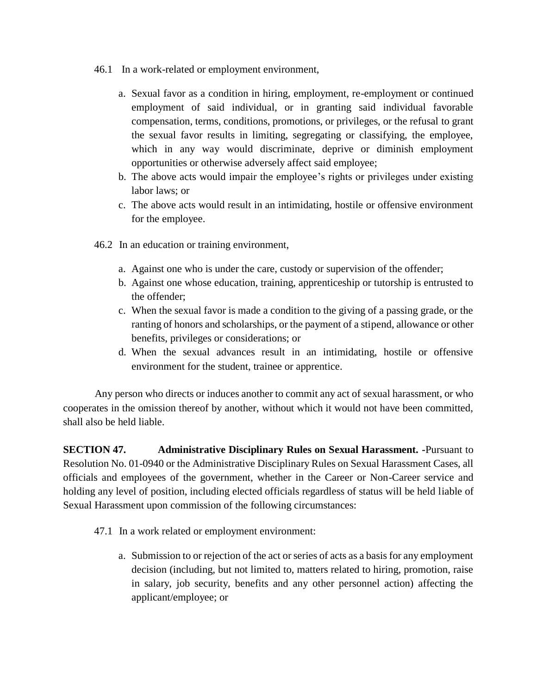- 46.1 In a work-related or employment environment,
	- a. Sexual favor as a condition in hiring, employment, re-employment or continued employment of said individual, or in granting said individual favorable compensation, terms, conditions, promotions, or privileges, or the refusal to grant the sexual favor results in limiting, segregating or classifying, the employee, which in any way would discriminate, deprive or diminish employment opportunities or otherwise adversely affect said employee;
	- b. The above acts would impair the employee's rights or privileges under existing labor laws; or
	- c. The above acts would result in an intimidating, hostile or offensive environment for the employee.
- 46.2 In an education or training environment,
	- a. Against one who is under the care, custody or supervision of the offender;
	- b. Against one whose education, training, apprenticeship or tutorship is entrusted to the offender;
	- c. When the sexual favor is made a condition to the giving of a passing grade, or the ranting of honors and scholarships, or the payment of a stipend, allowance or other benefits, privileges or considerations; or
	- d. When the sexual advances result in an intimidating, hostile or offensive environment for the student, trainee or apprentice.

Any person who directs or induces another to commit any act of sexual harassment, or who cooperates in the omission thereof by another, without which it would not have been committed, shall also be held liable.

**SECTION 47. Administrative Disciplinary Rules on Sexual Harassment. -**Pursuant to Resolution No. 01-0940 or the Administrative Disciplinary Rules on Sexual Harassment Cases, all officials and employees of the government, whether in the Career or Non-Career service and holding any level of position, including elected officials regardless of status will be held liable of Sexual Harassment upon commission of the following circumstances:

- 47.1 In a work related or employment environment:
	- a. Submission to or rejection of the act or series of acts as a basis for any employment decision (including, but not limited to, matters related to hiring, promotion, raise in salary, job security, benefits and any other personnel action) affecting the applicant/employee; or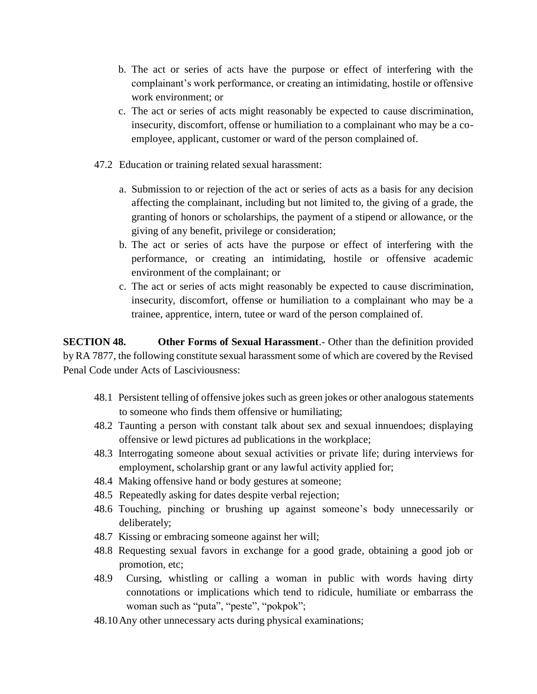- b. The act or series of acts have the purpose or effect of interfering with the complainant's work performance, or creating an intimidating, hostile or offensive work environment; or
- c. The act or series of acts might reasonably be expected to cause discrimination, insecurity, discomfort, offense or humiliation to a complainant who may be a coemployee, applicant, customer or ward of the person complained of.
- 47.2 Education or training related sexual harassment:
	- a. Submission to or rejection of the act or series of acts as a basis for any decision affecting the complainant, including but not limited to, the giving of a grade, the granting of honors or scholarships, the payment of a stipend or allowance, or the giving of any benefit, privilege or consideration;
	- b. The act or series of acts have the purpose or effect of interfering with the performance, or creating an intimidating, hostile or offensive academic environment of the complainant; or
	- c. The act or series of acts might reasonably be expected to cause discrimination, insecurity, discomfort, offense or humiliation to a complainant who may be a trainee, apprentice, intern, tutee or ward of the person complained of.

**SECTION 48. Other Forms of Sexual Harassment**.- Other than the definition provided by RA 7877, the following constitute sexual harassment some of which are covered by the Revised Penal Code under Acts of Lasciviousness:

- 48.1 Persistent telling of offensive jokes such as green jokes or other analogous statements to someone who finds them offensive or humiliating;
- 48.2 Taunting a person with constant talk about sex and sexual innuendoes; displaying offensive or lewd pictures ad publications in the workplace;
- 48.3 Interrogating someone about sexual activities or private life; during interviews for employment, scholarship grant or any lawful activity applied for;
- 48.4 Making offensive hand or body gestures at someone;
- 48.5 Repeatedly asking for dates despite verbal rejection;
- 48.6 Touching, pinching or brushing up against someone's body unnecessarily or deliberately;
- 48.7 Kissing or embracing someone against her will;
- 48.8 Requesting sexual favors in exchange for a good grade, obtaining a good job or promotion, etc;
- 48.9 Cursing, whistling or calling a woman in public with words having dirty connotations or implications which tend to ridicule, humiliate or embarrass the woman such as "puta", "peste", "pokpok";
- 48.10Any other unnecessary acts during physical examinations;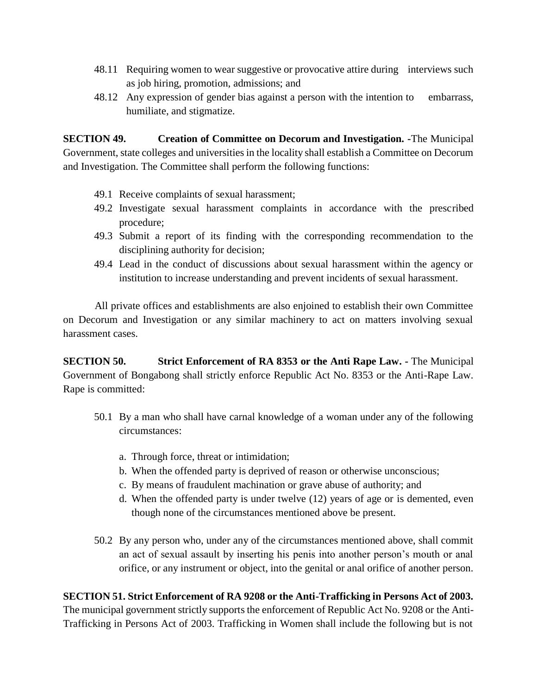- 48.11 Requiring women to wear suggestive or provocative attire during interviews such as job hiring, promotion, admissions; and
- 48.12 Any expression of gender bias against a person with the intention to embarrass, humiliate, and stigmatize.

**SECTION 49. Creation of Committee on Decorum and Investigation. -**The Municipal Government, state colleges and universities in the locality shall establish a Committee on Decorum and Investigation. The Committee shall perform the following functions:

- 49.1 Receive complaints of sexual harassment;
- 49.2 Investigate sexual harassment complaints in accordance with the prescribed procedure;
- 49.3 Submit a report of its finding with the corresponding recommendation to the disciplining authority for decision;
- 49.4 Lead in the conduct of discussions about sexual harassment within the agency or institution to increase understanding and prevent incidents of sexual harassment.

All private offices and establishments are also enjoined to establish their own Committee on Decorum and Investigation or any similar machinery to act on matters involving sexual harassment cases.

**SECTION 50. Strict Enforcement of RA 8353 or the Anti Rape Law. -** The Municipal Government of Bongabong shall strictly enforce Republic Act No. 8353 or the Anti-Rape Law. Rape is committed:

- 50.1 By a man who shall have carnal knowledge of a woman under any of the following circumstances:
	- a. Through force, threat or intimidation;
	- b. When the offended party is deprived of reason or otherwise unconscious;
	- c. By means of fraudulent machination or grave abuse of authority; and
	- d. When the offended party is under twelve (12) years of age or is demented, even though none of the circumstances mentioned above be present.
- 50.2 By any person who, under any of the circumstances mentioned above, shall commit an act of sexual assault by inserting his penis into another person's mouth or anal orifice, or any instrument or object, into the genital or anal orifice of another person.

# **SECTION 51. Strict Enforcement of RA 9208 or the Anti-Trafficking in Persons Act of 2003.**

The municipal government strictly supports the enforcement of Republic Act No. 9208 or the Anti-Trafficking in Persons Act of 2003. Trafficking in Women shall include the following but is not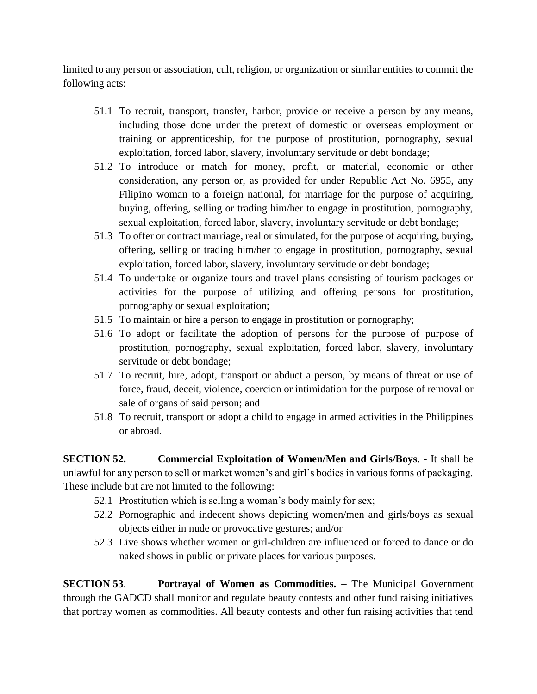limited to any person or association, cult, religion, or organization or similar entities to commit the following acts:

- 51.1 To recruit, transport, transfer, harbor, provide or receive a person by any means, including those done under the pretext of domestic or overseas employment or training or apprenticeship, for the purpose of prostitution, pornography, sexual exploitation, forced labor, slavery, involuntary servitude or debt bondage;
- 51.2 To introduce or match for money, profit, or material, economic or other consideration, any person or, as provided for under Republic Act No. 6955, any Filipino woman to a foreign national, for marriage for the purpose of acquiring, buying, offering, selling or trading him/her to engage in prostitution, pornography, sexual exploitation, forced labor, slavery, involuntary servitude or debt bondage;
- 51.3 To offer or contract marriage, real or simulated, for the purpose of acquiring, buying, offering, selling or trading him/her to engage in prostitution, pornography, sexual exploitation, forced labor, slavery, involuntary servitude or debt bondage;
- 51.4 To undertake or organize tours and travel plans consisting of tourism packages or activities for the purpose of utilizing and offering persons for prostitution, pornography or sexual exploitation;
- 51.5 To maintain or hire a person to engage in prostitution or pornography;
- 51.6 To adopt or facilitate the adoption of persons for the purpose of purpose of prostitution, pornography, sexual exploitation, forced labor, slavery, involuntary servitude or debt bondage;
- 51.7 To recruit, hire, adopt, transport or abduct a person, by means of threat or use of force, fraud, deceit, violence, coercion or intimidation for the purpose of removal or sale of organs of said person; and
- 51.8 To recruit, transport or adopt a child to engage in armed activities in the Philippines or abroad.

**SECTION 52. Commercial Exploitation of Women/Men and Girls/Boys**. - It shall be unlawful for any person to sell or market women's and girl's bodies in various forms of packaging. These include but are not limited to the following:

- 52.1 Prostitution which is selling a woman's body mainly for sex;
- 52.2 Pornographic and indecent shows depicting women/men and girls/boys as sexual objects either in nude or provocative gestures; and/or
- 52.3 Live shows whether women or girl-children are influenced or forced to dance or do naked shows in public or private places for various purposes.

**SECTION 53**. **Portrayal of Women as Commodities. –** The Municipal Government through the GADCD shall monitor and regulate beauty contests and other fund raising initiatives that portray women as commodities. All beauty contests and other fun raising activities that tend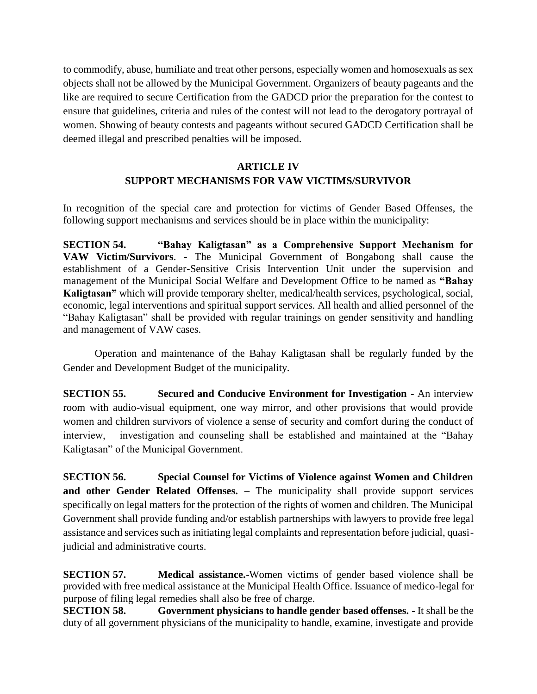to commodify, abuse, humiliate and treat other persons, especially women and homosexuals as sex objects shall not be allowed by the Municipal Government. Organizers of beauty pageants and the like are required to secure Certification from the GADCD prior the preparation for the contest to ensure that guidelines, criteria and rules of the contest will not lead to the derogatory portrayal of women. Showing of beauty contests and pageants without secured GADCD Certification shall be deemed illegal and prescribed penalties will be imposed.

# **ARTICLE IV SUPPORT MECHANISMS FOR VAW VICTIMS/SURVIVOR**

In recognition of the special care and protection for victims of Gender Based Offenses, the following support mechanisms and services should be in place within the municipality:

**SECTION 54. "Bahay Kaligtasan" as a Comprehensive Support Mechanism for VAW Victim/Survivors**. - The Municipal Government of Bongabong shall cause the establishment of a Gender-Sensitive Crisis Intervention Unit under the supervision and management of the Municipal Social Welfare and Development Office to be named as **"Bahay Kaligtasan"** which will provide temporary shelter, medical/health services, psychological, social, economic, legal interventions and spiritual support services. All health and allied personnel of the "Bahay Kaligtasan" shall be provided with regular trainings on gender sensitivity and handling and management of VAW cases.

Operation and maintenance of the Bahay Kaligtasan shall be regularly funded by the Gender and Development Budget of the municipality.

**SECTION 55. Secured and Conducive Environment for Investigation** - An interview room with audio-visual equipment, one way mirror, and other provisions that would provide women and children survivors of violence a sense of security and comfort during the conduct of interview, investigation and counseling shall be established and maintained at the "Bahay Kaligtasan" of the Municipal Government.

**SECTION 56. Special Counsel for Victims of Violence against Women and Children and other Gender Related Offenses. –** The municipality shall provide support services specifically on legal matters for the protection of the rights of women and children. The Municipal Government shall provide funding and/or establish partnerships with lawyers to provide free legal assistance and services such as initiating legal complaints and representation before judicial, quasijudicial and administrative courts.

**SECTION 57. Medical assistance.**-Women victims of gender based violence shall be provided with free medical assistance at the Municipal Health Office. Issuance of medico-legal for purpose of filing legal remedies shall also be free of charge.

**SECTION 58. Government physicians to handle gender based offenses.** - It shall be the duty of all government physicians of the municipality to handle, examine, investigate and provide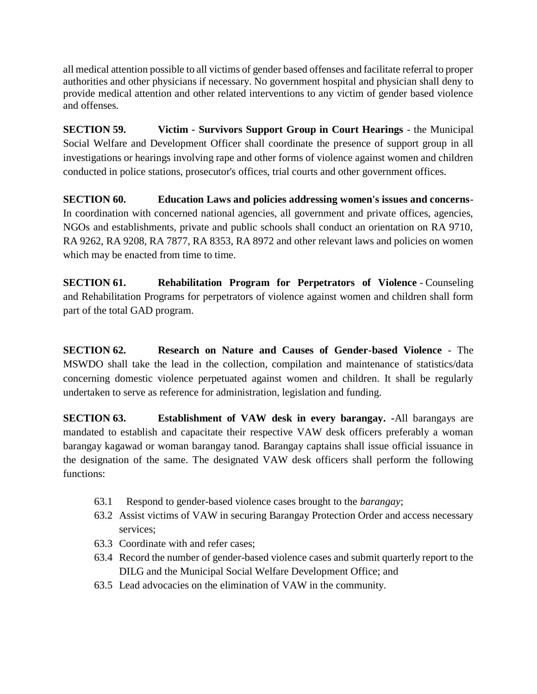all medical attention possible to all victims of gender based offenses and facilitate referral to proper authorities and other physicians if necessary. No government hospital and physician shall deny to provide medical attention and other related interventions to any victim of gender based violence and offenses.

**SECTION 59. Victim - Survivors Support Group in Court Hearings** - the Municipal Social Welfare and Development Officer shall coordinate the presence of support group in all investigations or hearings involving rape and other forms of violence against women and children conducted in police stations, prosecutor's offices, trial courts and other government offices.

**SECTION 60. Education Laws and policies addressing women's issues and concerns**-In coordination with concerned national agencies, all government and private offices, agencies, NGOs and establishments, private and public schools shall conduct an orientation on RA 9710, RA 9262, RA 9208, RA 7877, RA 8353, RA 8972 and other relevant laws and policies on women which may be enacted from time to time.

**SECTION 61. Rehabilitation Program for Perpetrators of Violence** - Counseling and Rehabilitation Programs for perpetrators of violence against women and children shall form part of the total GAD program.

**SECTION 62. Research on Nature and Causes of Gender-based Violence** - The MSWDO shall take the lead in the collection, compilation and maintenance of statistics/data concerning domestic violence perpetuated against women and children. It shall be regularly undertaken to serve as reference for administration, legislation and funding.

**SECTION 63. Establishment of VAW desk in every barangay. -**All barangays are mandated to establish and capacitate their respective VAW desk officers preferably a woman barangay kagawad or woman barangay tanod. Barangay captains shall issue official issuance in the designation of the same. The designated VAW desk officers shall perform the following functions:

- 63.1 Respond to gender-based violence cases brought to the *barangay*;
- 63.2 Assist victims of VAW in securing Barangay Protection Order and access necessary services;
- 63.3 Coordinate with and refer cases;
- 63.4 Record the number of gender-based violence cases and submit quarterly report to the DILG and the Municipal Social Welfare Development Office; and
- 63.5 Lead advocacies on the elimination of VAW in the community.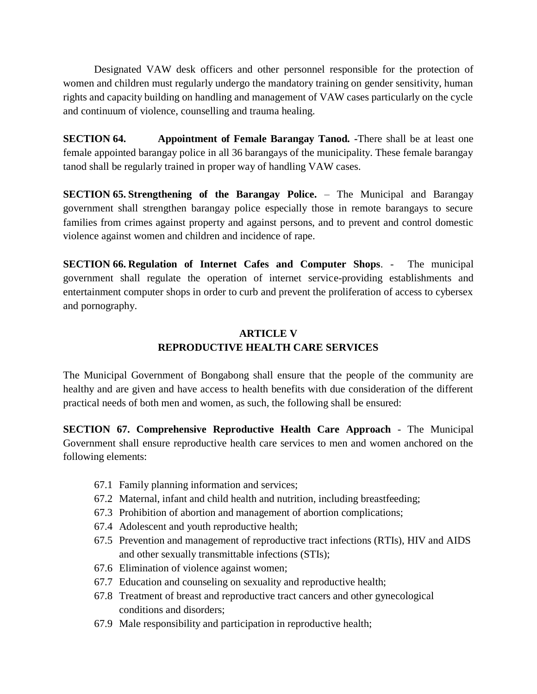Designated VAW desk officers and other personnel responsible for the protection of women and children must regularly undergo the mandatory training on gender sensitivity, human rights and capacity building on handling and management of VAW cases particularly on the cycle and continuum of violence, counselling and trauma healing.

**SECTION 64. Appointment of Female Barangay Tanod. -**There shall be at least one female appointed barangay police in all 36 barangays of the municipality. These female barangay tanod shall be regularly trained in proper way of handling VAW cases.

**SECTION 65. Strengthening of the Barangay Police.** – The Municipal and Barangay government shall strengthen barangay police especially those in remote barangays to secure families from crimes against property and against persons, and to prevent and control domestic violence against women and children and incidence of rape.

**SECTION 66. Regulation of Internet Cafes and Computer Shops**. - The municipal government shall regulate the operation of internet service-providing establishments and entertainment computer shops in order to curb and prevent the proliferation of access to cybersex and pornography.

### **ARTICLE V REPRODUCTIVE HEALTH CARE SERVICES**

The Municipal Government of Bongabong shall ensure that the people of the community are healthy and are given and have access to health benefits with due consideration of the different practical needs of both men and women, as such, the following shall be ensured:

**SECTION 67. Comprehensive Reproductive Health Care Approach** - The Municipal Government shall ensure reproductive health care services to men and women anchored on the following elements:

- 67.1 Family planning information and services;
- 67.2 Maternal, infant and child health and nutrition, including breastfeeding;
- 67.3 Prohibition of abortion and management of abortion complications;
- 67.4 Adolescent and youth reproductive health;
- 67.5 Prevention and management of reproductive tract infections (RTIs), HIV and AIDS and other sexually transmittable infections (STIs);
- 67.6 Elimination of violence against women;
- 67.7 Education and counseling on sexuality and reproductive health;
- 67.8 Treatment of breast and reproductive tract cancers and other gynecological conditions and disorders;
- 67.9 Male responsibility and participation in reproductive health;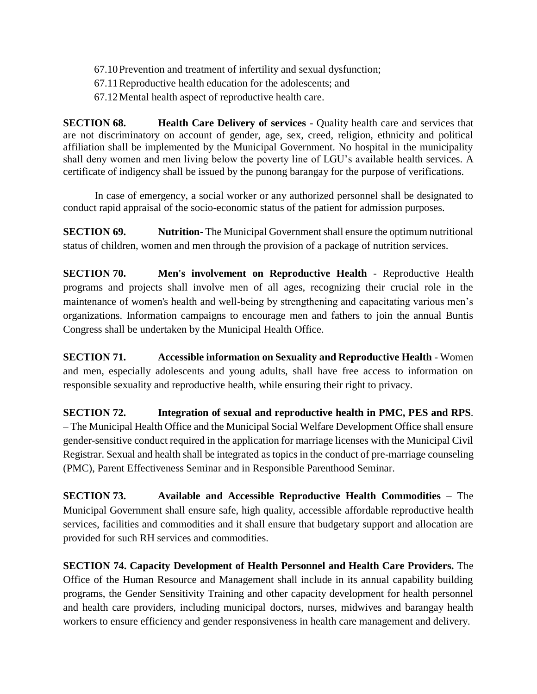- 67.10Prevention and treatment of infertility and sexual dysfunction;
- 67.11Reproductive health education for the adolescents; and
- 67.12Mental health aspect of reproductive health care.

**SECTION 68. Health Care Delivery of services** - Quality health care and services that are not discriminatory on account of gender, age, sex, creed, religion, ethnicity and political affiliation shall be implemented by the Municipal Government. No hospital in the municipality shall deny women and men living below the poverty line of LGU's available health services. A certificate of indigency shall be issued by the punong barangay for the purpose of verifications.

In case of emergency, a social worker or any authorized personnel shall be designated to conduct rapid appraisal of the socio-economic status of the patient for admission purposes.

**SECTION 69. Nutrition-** The Municipal Government shall ensure the optimum nutritional status of children, women and men through the provision of a package of nutrition services.

**SECTION 70. Men's involvement on Reproductive Health** - Reproductive Health programs and projects shall involve men of all ages, recognizing their crucial role in the maintenance of women's health and well-being by strengthening and capacitating various men's organizations. Information campaigns to encourage men and fathers to join the annual Buntis Congress shall be undertaken by the Municipal Health Office.

**SECTION 71. Accessible information on Sexuality and Reproductive Health** - Women and men, especially adolescents and young adults, shall have free access to information on responsible sexuality and reproductive health, while ensuring their right to privacy.

**SECTION 72. Integration of sexual and reproductive health in PMC, PES and RPS**. – The Municipal Health Office and the Municipal Social Welfare Development Office shall ensure gender-sensitive conduct required in the application for marriage licenses with the Municipal Civil Registrar. Sexual and health shall be integrated as topics in the conduct of pre-marriage counseling (PMC), Parent Effectiveness Seminar and in Responsible Parenthood Seminar.

**SECTION 73. Available and Accessible Reproductive Health Commodities** – The Municipal Government shall ensure safe, high quality, accessible affordable reproductive health services, facilities and commodities and it shall ensure that budgetary support and allocation are provided for such RH services and commodities.

**SECTION 74. Capacity Development of Health Personnel and Health Care Providers.** The Office of the Human Resource and Management shall include in its annual capability building programs, the Gender Sensitivity Training and other capacity development for health personnel and health care providers, including municipal doctors, nurses, midwives and barangay health workers to ensure efficiency and gender responsiveness in health care management and delivery.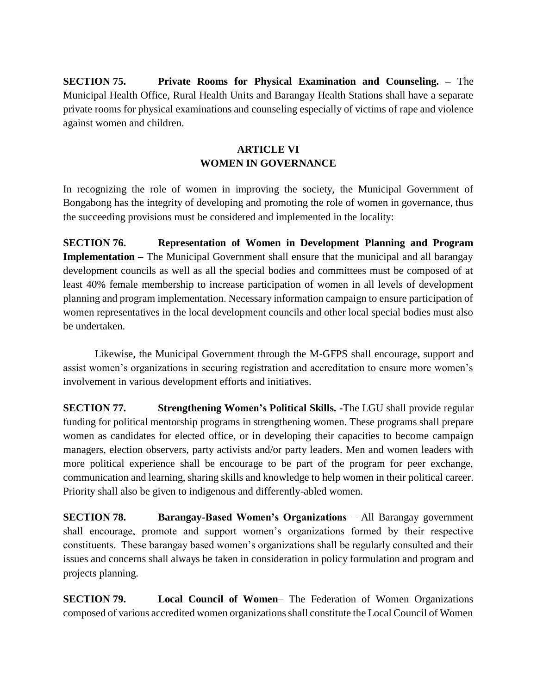**SECTION 75. Private Rooms for Physical Examination and Counseling. –** The Municipal Health Office, Rural Health Units and Barangay Health Stations shall have a separate private rooms for physical examinations and counseling especially of victims of rape and violence against women and children.

# **ARTICLE VI WOMEN IN GOVERNANCE**

In recognizing the role of women in improving the society, the Municipal Government of Bongabong has the integrity of developing and promoting the role of women in governance, thus the succeeding provisions must be considered and implemented in the locality:

**SECTION 76. Representation of Women in Development Planning and Program Implementation –** The Municipal Government shall ensure that the municipal and all barangay development councils as well as all the special bodies and committees must be composed of at least 40% female membership to increase participation of women in all levels of development planning and program implementation. Necessary information campaign to ensure participation of women representatives in the local development councils and other local special bodies must also be undertaken.

Likewise, the Municipal Government through the M-GFPS shall encourage, support and assist women's organizations in securing registration and accreditation to ensure more women's involvement in various development efforts and initiatives.

**SECTION 77. Strengthening Women's Political Skills. -**The LGU shall provide regular funding for political mentorship programs in strengthening women. These programs shall prepare women as candidates for elected office, or in developing their capacities to become campaign managers, election observers, party activists and/or party leaders. Men and women leaders with more political experience shall be encourage to be part of the program for peer exchange, communication and learning, sharing skills and knowledge to help women in their political career. Priority shall also be given to indigenous and differently-abled women.

**SECTION 78. Barangay-Based Women's Organizations** – All Barangay government shall encourage, promote and support women's organizations formed by their respective constituents. These barangay based women's organizations shall be regularly consulted and their issues and concerns shall always be taken in consideration in policy formulation and program and projects planning.

**SECTION 79. Local Council of Women**– The Federation of Women Organizations composed of various accredited women organizations shall constitute the Local Council of Women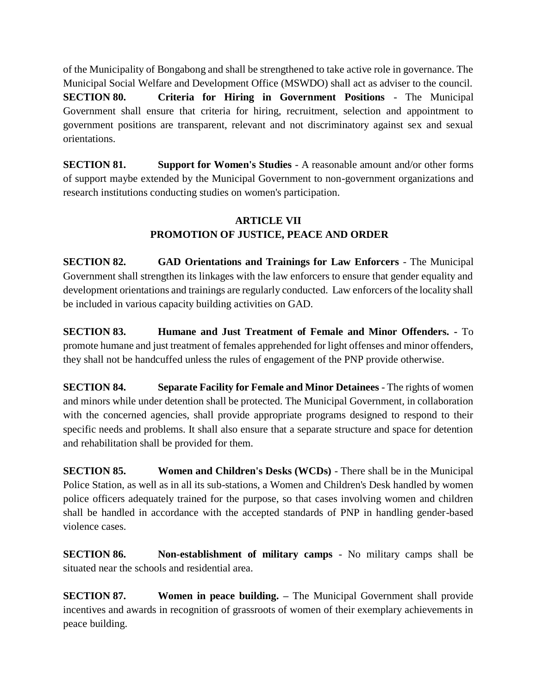of the Municipality of Bongabong and shall be strengthened to take active role in governance. The Municipal Social Welfare and Development Office (MSWDO) shall act as adviser to the council. **SECTION 80. Criteria for Hiring in Government Positions** - The Municipal Government shall ensure that criteria for hiring, recruitment, selection and appointment to government positions are transparent, relevant and not discriminatory against sex and sexual orientations.

**SECTION 81. Support for Women's Studies** - A reasonable amount and/or other forms of support maybe extended by the Municipal Government to non-government organizations and research institutions conducting studies on women's participation.

# **ARTICLE VII PROMOTION OF JUSTICE, PEACE AND ORDER**

**SECTION 82. GAD Orientations and Trainings for Law Enforcers** - The Municipal Government shall strengthen its linkages with the law enforcers to ensure that gender equality and development orientations and trainings are regularly conducted. Law enforcers of the locality shall be included in various capacity building activities on GAD.

**SECTION 83. Humane and Just Treatment of Female and Minor Offenders. -** To promote humane and just treatment of females apprehended for light offenses and minor offenders, they shall not be handcuffed unless the rules of engagement of the PNP provide otherwise.

**SECTION 84. Separate Facility for Female and Minor Detainees** - The rights of women and minors while under detention shall be protected. The Municipal Government, in collaboration with the concerned agencies, shall provide appropriate programs designed to respond to their specific needs and problems. It shall also ensure that a separate structure and space for detention and rehabilitation shall be provided for them.

**SECTION 85. Women and Children's Desks (WCDs)** - There shall be in the Municipal Police Station, as well as in all its sub-stations, a Women and Children's Desk handled by women police officers adequately trained for the purpose, so that cases involving women and children shall be handled in accordance with the accepted standards of PNP in handling gender-based violence cases.

**SECTION 86. Non-establishment of military camps** - No military camps shall be situated near the schools and residential area.

**SECTION 87.** Women in peace building. – The Municipal Government shall provide incentives and awards in recognition of grassroots of women of their exemplary achievements in peace building.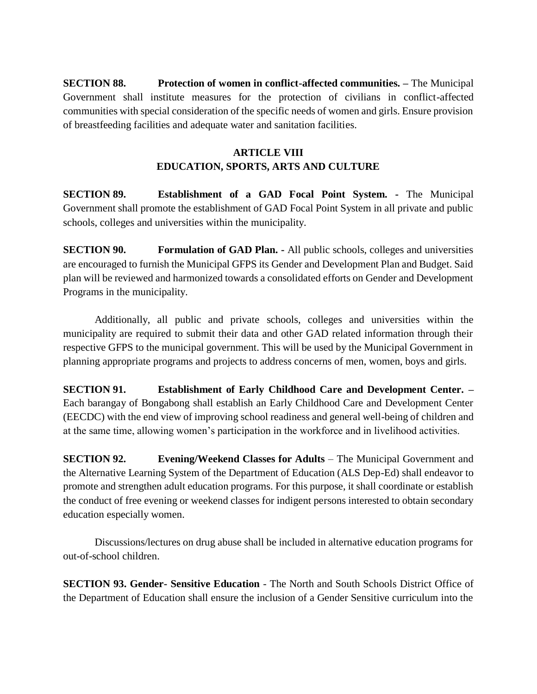**SECTION 88.** Protection of women in conflict-affected communities. – The Municipal Government shall institute measures for the protection of civilians in conflict-affected communities with special consideration of the specific needs of women and girls. Ensure provision of breastfeeding facilities and adequate water and sanitation facilities.

# **ARTICLE VIII EDUCATION, SPORTS, ARTS AND CULTURE**

**SECTION 89. Establishment of a GAD Focal Point System. -** The Municipal Government shall promote the establishment of GAD Focal Point System in all private and public schools, colleges and universities within the municipality.

**SECTION 90. Formulation of GAD Plan. -** All public schools, colleges and universities are encouraged to furnish the Municipal GFPS its Gender and Development Plan and Budget. Said plan will be reviewed and harmonized towards a consolidated efforts on Gender and Development Programs in the municipality.

Additionally, all public and private schools, colleges and universities within the municipality are required to submit their data and other GAD related information through their respective GFPS to the municipal government. This will be used by the Municipal Government in planning appropriate programs and projects to address concerns of men, women, boys and girls.

**SECTION 91. Establishment of Early Childhood Care and Development Center. –** Each barangay of Bongabong shall establish an Early Childhood Care and Development Center (EECDC) with the end view of improving school readiness and general well-being of children and at the same time, allowing women's participation in the workforce and in livelihood activities.

**SECTION 92. Evening/Weekend Classes for Adults** – The Municipal Government and the Alternative Learning System of the Department of Education (ALS Dep-Ed) shall endeavor to promote and strengthen adult education programs. For this purpose, it shall coordinate or establish the conduct of free evening or weekend classes for indigent persons interested to obtain secondary education especially women.

Discussions/lectures on drug abuse shall be included in alternative education programs for out-of-school children.

**SECTION 93. Gender- Sensitive Education** - The North and South Schools District Office of the Department of Education shall ensure the inclusion of a Gender Sensitive curriculum into the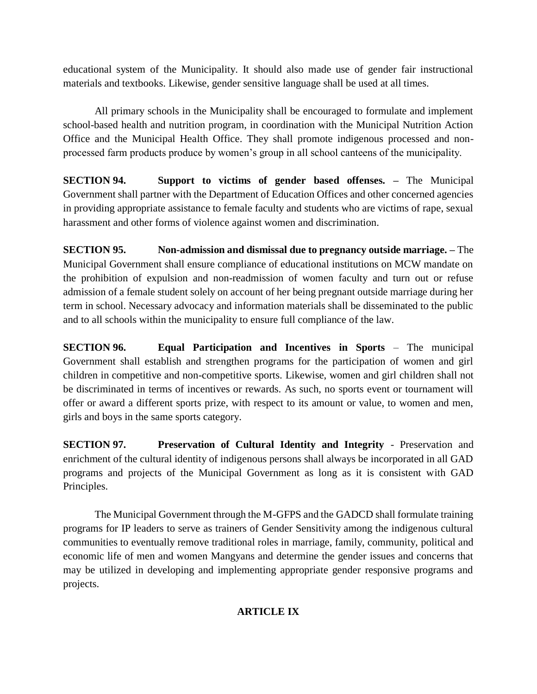educational system of the Municipality. It should also made use of gender fair instructional materials and textbooks. Likewise, gender sensitive language shall be used at all times.

All primary schools in the Municipality shall be encouraged to formulate and implement school-based health and nutrition program, in coordination with the Municipal Nutrition Action Office and the Municipal Health Office. They shall promote indigenous processed and nonprocessed farm products produce by women's group in all school canteens of the municipality.

**SECTION 94. Support to victims of gender based offenses. –** The Municipal Government shall partner with the Department of Education Offices and other concerned agencies in providing appropriate assistance to female faculty and students who are victims of rape, sexual harassment and other forms of violence against women and discrimination.

**SECTION 95. Non-admission and dismissal due to pregnancy outside marriage. –** The Municipal Government shall ensure compliance of educational institutions on MCW mandate on the prohibition of expulsion and non-readmission of women faculty and turn out or refuse admission of a female student solely on account of her being pregnant outside marriage during her term in school. Necessary advocacy and information materials shall be disseminated to the public and to all schools within the municipality to ensure full compliance of the law.

**SECTION 96. Equal Participation and Incentives in Sports** – The municipal Government shall establish and strengthen programs for the participation of women and girl children in competitive and non-competitive sports. Likewise, women and girl children shall not be discriminated in terms of incentives or rewards. As such, no sports event or tournament will offer or award a different sports prize, with respect to its amount or value, to women and men, girls and boys in the same sports category.

**SECTION 97. Preservation of Cultural Identity and Integrity** - Preservation and enrichment of the cultural identity of indigenous persons shall always be incorporated in all GAD programs and projects of the Municipal Government as long as it is consistent with GAD Principles.

The Municipal Government through the M-GFPS and the GADCD shall formulate training programs for IP leaders to serve as trainers of Gender Sensitivity among the indigenous cultural communities to eventually remove traditional roles in marriage, family, community, political and economic life of men and women Mangyans and determine the gender issues and concerns that may be utilized in developing and implementing appropriate gender responsive programs and projects.

### **ARTICLE IX**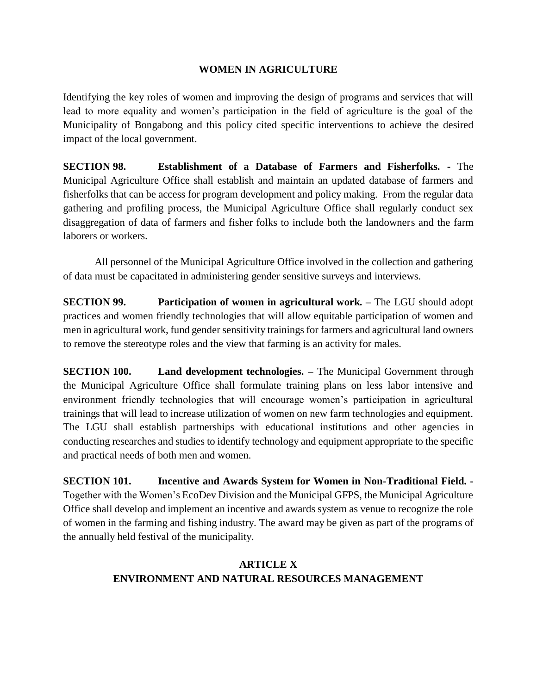#### **WOMEN IN AGRICULTURE**

Identifying the key roles of women and improving the design of programs and services that will lead to more equality and women's participation in the field of agriculture is the goal of the Municipality of Bongabong and this policy cited specific interventions to achieve the desired impact of the local government.

**SECTION 98. Establishment of a Database of Farmers and Fisherfolks. -** The Municipal Agriculture Office shall establish and maintain an updated database of farmers and fisherfolks that can be access for program development and policy making. From the regular data gathering and profiling process, the Municipal Agriculture Office shall regularly conduct sex disaggregation of data of farmers and fisher folks to include both the landowners and the farm laborers or workers.

All personnel of the Municipal Agriculture Office involved in the collection and gathering of data must be capacitated in administering gender sensitive surveys and interviews.

**SECTION 99. Participation of women in agricultural work. –** The LGU should adopt practices and women friendly technologies that will allow equitable participation of women and men in agricultural work, fund gender sensitivity trainings for farmers and agricultural land owners to remove the stereotype roles and the view that farming is an activity for males.

**SECTION 100. Land development technologies. –** The Municipal Government through the Municipal Agriculture Office shall formulate training plans on less labor intensive and environment friendly technologies that will encourage women's participation in agricultural trainings that will lead to increase utilization of women on new farm technologies and equipment. The LGU shall establish partnerships with educational institutions and other agencies in conducting researches and studies to identify technology and equipment appropriate to the specific and practical needs of both men and women.

**SECTION 101. Incentive and Awards System for Women in Non-Traditional Field. -** Together with the Women's EcoDev Division and the Municipal GFPS, the Municipal Agriculture Office shall develop and implement an incentive and awards system as venue to recognize the role of women in the farming and fishing industry. The award may be given as part of the programs of the annually held festival of the municipality.

# **ARTICLE X ENVIRONMENT AND NATURAL RESOURCES MANAGEMENT**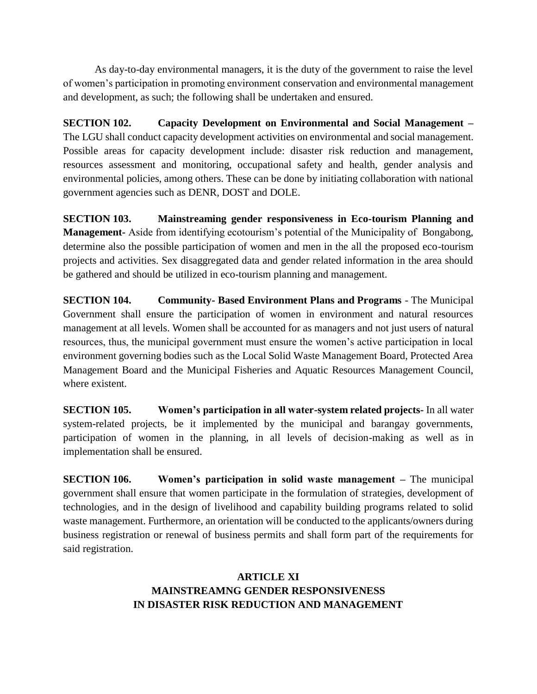As day-to-day environmental managers, it is the duty of the government to raise the level of women's participation in promoting environment conservation and environmental management and development, as such; the following shall be undertaken and ensured.

**SECTION 102. Capacity Development on Environmental and Social Management –** The LGU shall conduct capacity development activities on environmental and social management. Possible areas for capacity development include: disaster risk reduction and management, resources assessment and monitoring, occupational safety and health, gender analysis and environmental policies, among others. These can be done by initiating collaboration with national government agencies such as DENR, DOST and DOLE.

**SECTION 103. Mainstreaming gender responsiveness in Eco-tourism Planning and Management-** Aside from identifying ecotourism's potential of the Municipality of Bongabong, determine also the possible participation of women and men in the all the proposed eco-tourism projects and activities. Sex disaggregated data and gender related information in the area should be gathered and should be utilized in eco-tourism planning and management.

**SECTION 104. Community- Based Environment Plans and Programs** - The Municipal Government shall ensure the participation of women in environment and natural resources management at all levels. Women shall be accounted for as managers and not just users of natural resources, thus, the municipal government must ensure the women's active participation in local environment governing bodies such as the Local Solid Waste Management Board, Protected Area Management Board and the Municipal Fisheries and Aquatic Resources Management Council, where existent.

**SECTION 105. Women's participation in all water-system related projects-** In all water system-related projects, be it implemented by the municipal and barangay governments, participation of women in the planning, in all levels of decision-making as well as in implementation shall be ensured.

**SECTION 106. Women's participation in solid waste management –** The municipal government shall ensure that women participate in the formulation of strategies, development of technologies, and in the design of livelihood and capability building programs related to solid waste management. Furthermore, an orientation will be conducted to the applicants/owners during business registration or renewal of business permits and shall form part of the requirements for said registration.

### **ARTICLE XI MAINSTREAMNG GENDER RESPONSIVENESS IN DISASTER RISK REDUCTION AND MANAGEMENT**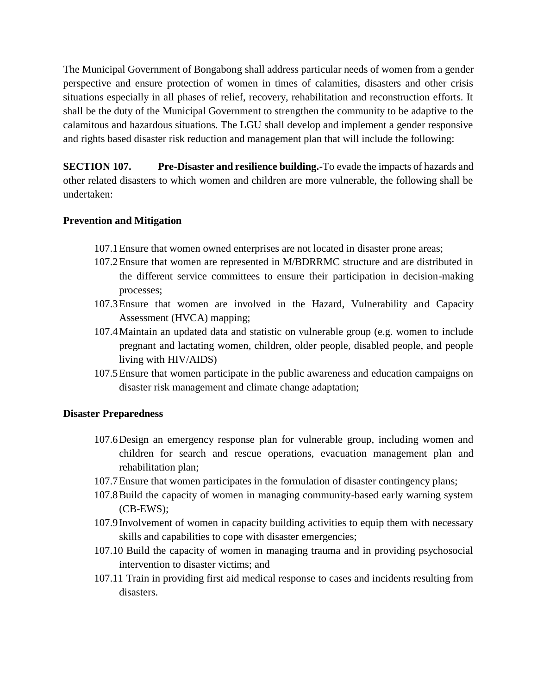The Municipal Government of Bongabong shall address particular needs of women from a gender perspective and ensure protection of women in times of calamities, disasters and other crisis situations especially in all phases of relief, recovery, rehabilitation and reconstruction efforts. It shall be the duty of the Municipal Government to strengthen the community to be adaptive to the calamitous and hazardous situations. The LGU shall develop and implement a gender responsive and rights based disaster risk reduction and management plan that will include the following:

**SECTION 107. Pre-Disaster and resilience building.** To evade the impacts of hazards and other related disasters to which women and children are more vulnerable, the following shall be undertaken:

#### **Prevention and Mitigation**

- 107.1Ensure that women owned enterprises are not located in disaster prone areas;
- 107.2Ensure that women are represented in M/BDRRMC structure and are distributed in the different service committees to ensure their participation in decision-making processes;
- 107.3Ensure that women are involved in the Hazard, Vulnerability and Capacity Assessment (HVCA) mapping;
- 107.4Maintain an updated data and statistic on vulnerable group (e.g. women to include pregnant and lactating women, children, older people, disabled people, and people living with HIV/AIDS)
- 107.5Ensure that women participate in the public awareness and education campaigns on disaster risk management and climate change adaptation;

#### **Disaster Preparedness**

- 107.6Design an emergency response plan for vulnerable group, including women and children for search and rescue operations, evacuation management plan and rehabilitation plan;
- 107.7Ensure that women participates in the formulation of disaster contingency plans;
- 107.8Build the capacity of women in managing community-based early warning system (CB-EWS);
- 107.9Involvement of women in capacity building activities to equip them with necessary skills and capabilities to cope with disaster emergencies;
- 107.10 Build the capacity of women in managing trauma and in providing psychosocial intervention to disaster victims; and
- 107.11 Train in providing first aid medical response to cases and incidents resulting from disasters.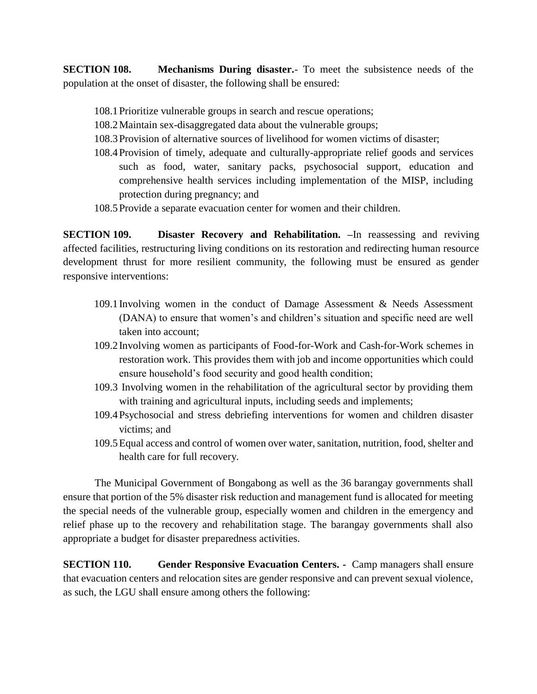**SECTION 108. Mechanisms During disaster.**- To meet the subsistence needs of the population at the onset of disaster, the following shall be ensured:

- 108.1Prioritize vulnerable groups in search and rescue operations;
- 108.2Maintain sex-disaggregated data about the vulnerable groups;
- 108.3Provision of alternative sources of livelihood for women victims of disaster;
- 108.4Provision of timely, adequate and culturally-appropriate relief goods and services such as food, water, sanitary packs, psychosocial support, education and comprehensive health services including implementation of the MISP, including protection during pregnancy; and
- 108.5Provide a separate evacuation center for women and their children.

**SECTION 109. Disaster Recovery and Rehabilitation. –**In reassessing and reviving affected facilities, restructuring living conditions on its restoration and redirecting human resource development thrust for more resilient community, the following must be ensured as gender responsive interventions:

- 109.1Involving women in the conduct of Damage Assessment & Needs Assessment (DANA) to ensure that women's and children's situation and specific need are well taken into account;
- 109.2Involving women as participants of Food-for-Work and Cash-for-Work schemes in restoration work. This provides them with job and income opportunities which could ensure household's food security and good health condition;
- 109.3 Involving women in the rehabilitation of the agricultural sector by providing them with training and agricultural inputs, including seeds and implements;
- 109.4Psychosocial and stress debriefing interventions for women and children disaster victims; and
- 109.5Equal access and control of women over water, sanitation, nutrition, food, shelter and health care for full recovery.

The Municipal Government of Bongabong as well as the 36 barangay governments shall ensure that portion of the 5% disaster risk reduction and management fund is allocated for meeting the special needs of the vulnerable group, especially women and children in the emergency and relief phase up to the recovery and rehabilitation stage. The barangay governments shall also appropriate a budget for disaster preparedness activities.

**SECTION 110. Gender Responsive Evacuation Centers.** • Camp managers shall ensure that evacuation centers and relocation sites are gender responsive and can prevent sexual violence, as such, the LGU shall ensure among others the following: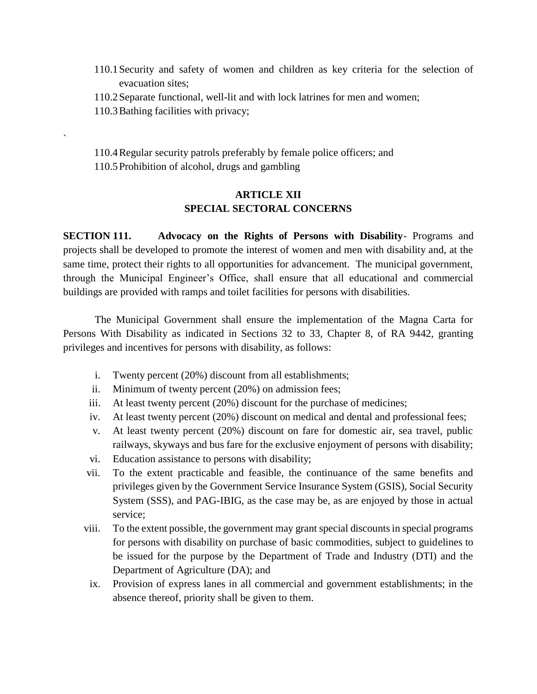- 110.1Security and safety of women and children as key criteria for the selection of evacuation sites;
- 110.2Separate functional, well-lit and with lock latrines for men and women;
- 110.3Bathing facilities with privacy;

`

110.4Regular security patrols preferably by female police officers; and 110.5Prohibition of alcohol, drugs and gambling

### **ARTICLE XII SPECIAL SECTORAL CONCERNS**

**SECTION 111. Advocacy on the Rights of Persons with Disability**- Programs and projects shall be developed to promote the interest of women and men with disability and, at the same time, protect their rights to all opportunities for advancement. The municipal government, through the Municipal Engineer's Office, shall ensure that all educational and commercial buildings are provided with ramps and toilet facilities for persons with disabilities.

The Municipal Government shall ensure the implementation of the Magna Carta for Persons With Disability as indicated in Sections 32 to 33, Chapter 8, of RA 9442, granting privileges and incentives for persons with disability, as follows:

- i. Twenty percent (20%) discount from all establishments;
- ii. Minimum of twenty percent (20%) on admission fees;
- iii. At least twenty percent (20%) discount for the purchase of medicines;
- iv. At least twenty percent (20%) discount on medical and dental and professional fees;
- v. At least twenty percent (20%) discount on fare for domestic air, sea travel, public railways, skyways and bus fare for the exclusive enjoyment of persons with disability;
- vi. Education assistance to persons with disability;
- vii. To the extent practicable and feasible, the continuance of the same benefits and privileges given by the Government Service Insurance System (GSIS), Social Security System (SSS), and PAG-IBIG, as the case may be, as are enjoyed by those in actual service;
- viii. To the extent possible, the government may grant special discounts in special programs for persons with disability on purchase of basic commodities, subject to guidelines to be issued for the purpose by the Department of Trade and Industry (DTI) and the Department of Agriculture (DA); and
- ix. Provision of express lanes in all commercial and government establishments; in the absence thereof, priority shall be given to them.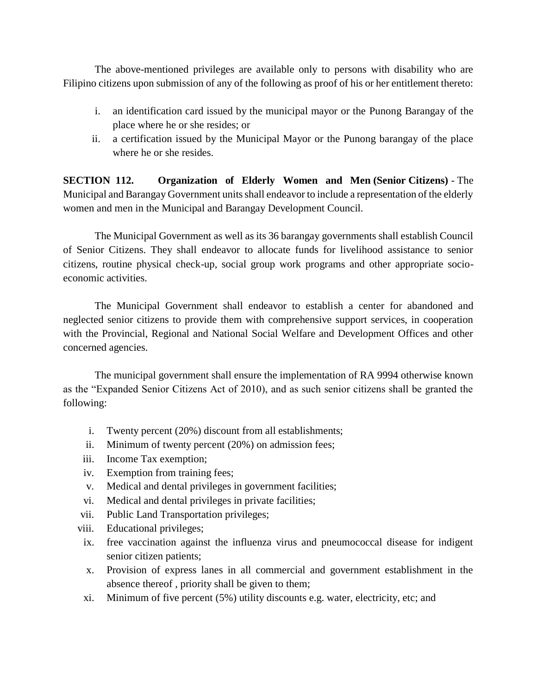The above-mentioned privileges are available only to persons with disability who are Filipino citizens upon submission of any of the following as proof of his or her entitlement thereto:

- i. an identification card issued by the municipal mayor or the Punong Barangay of the place where he or she resides; or
- ii. a certification issued by the Municipal Mayor or the Punong barangay of the place where he or she resides.

**SECTION 112. Organization of Elderly Women and Men (Senior Citizens)** - The Municipal and Barangay Government units shall endeavor to include a representation of the elderly women and men in the Municipal and Barangay Development Council.

The Municipal Government as well as its 36 barangay governments shall establish Council of Senior Citizens. They shall endeavor to allocate funds for livelihood assistance to senior citizens, routine physical check-up, social group work programs and other appropriate socioeconomic activities.

The Municipal Government shall endeavor to establish a center for abandoned and neglected senior citizens to provide them with comprehensive support services, in cooperation with the Provincial, Regional and National Social Welfare and Development Offices and other concerned agencies.

The municipal government shall ensure the implementation of RA 9994 otherwise known as the "Expanded Senior Citizens Act of 2010), and as such senior citizens shall be granted the following:

- i. Twenty percent (20%) discount from all establishments;
- ii. Minimum of twenty percent (20%) on admission fees;
- iii. Income Tax exemption;
- iv. Exemption from training fees;
- v. Medical and dental privileges in government facilities;
- vi. Medical and dental privileges in private facilities;
- vii. Public Land Transportation privileges;
- viii. Educational privileges;
- ix. free vaccination against the influenza virus and pneumococcal disease for indigent senior citizen patients;
- x. Provision of express lanes in all commercial and government establishment in the absence thereof , priority shall be given to them;
- xi. Minimum of five percent (5%) utility discounts e.g. water, electricity, etc; and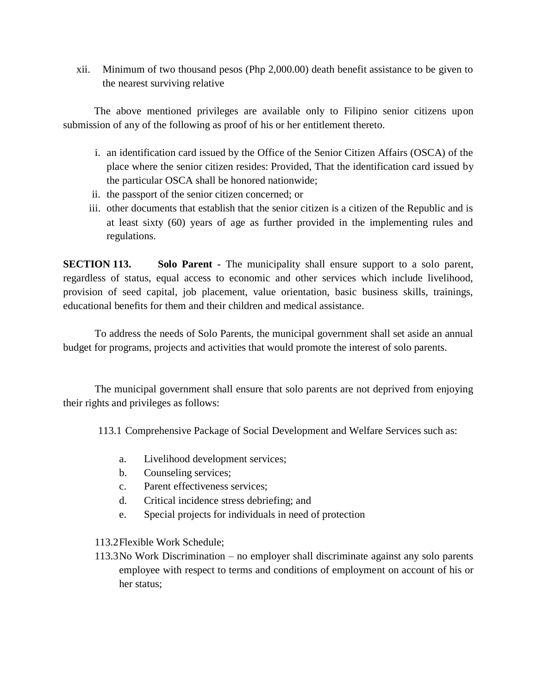xii. Minimum of two thousand pesos (Php 2,000.00) death benefit assistance to be given to the nearest surviving relative

The above mentioned privileges are available only to Filipino senior citizens upon submission of any of the following as proof of his or her entitlement thereto.

- i. an identification card issued by the Office of the Senior Citizen Affairs (OSCA) of the place where the senior citizen resides: Provided, That the identification card issued by the particular OSCA shall be honored nationwide;
- ii. the passport of the senior citizen concerned; or
- iii. other documents that establish that the senior citizen is a citizen of the Republic and is at least sixty (60) years of age as further provided in the implementing rules and regulations.

**SECTION 113. Solo Parent -** The municipality shall ensure support to a solo parent, regardless of status, equal access to economic and other services which include livelihood, provision of seed capital, job placement, value orientation, basic business skills, trainings, educational benefits for them and their children and medical assistance.

To address the needs of Solo Parents, the municipal government shall set aside an annual budget for programs, projects and activities that would promote the interest of solo parents.

The municipal government shall ensure that solo parents are not deprived from enjoying their rights and privileges as follows:

113.1 Comprehensive Package of Social Development and Welfare Services such as:

- a. Livelihood development services;
- b. Counseling services;
- c. Parent effectiveness services;
- d. Critical incidence stress debriefing; and
- e. Special projects for individuals in need of protection

113.2Flexible Work Schedule;

113.3No Work Discrimination – no employer shall discriminate against any solo parents employee with respect to terms and conditions of employment on account of his or her status;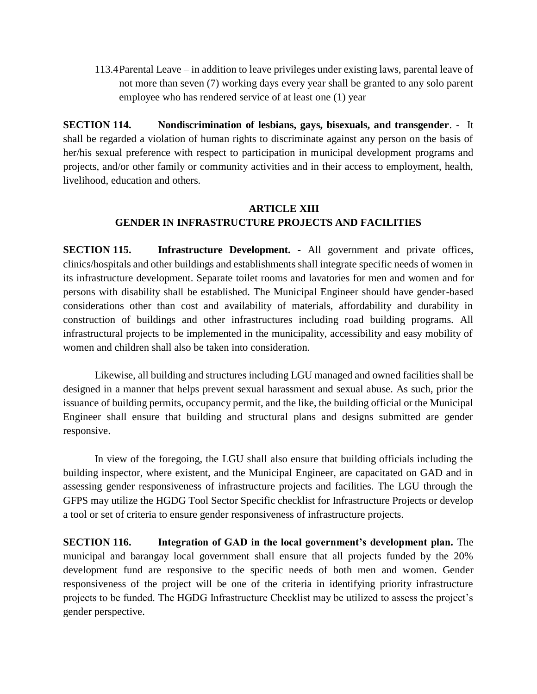113.4Parental Leave – in addition to leave privileges under existing laws, parental leave of not more than seven (7) working days every year shall be granted to any solo parent employee who has rendered service of at least one (1) year

**SECTION 114. Nondiscrimination of lesbians, gays, bisexuals, and transgender**. - It shall be regarded a violation of human rights to discriminate against any person on the basis of her/his sexual preference with respect to participation in municipal development programs and projects, and/or other family or community activities and in their access to employment, health, livelihood, education and others.

### **ARTICLE XIII GENDER IN INFRASTRUCTURE PROJECTS AND FACILITIES**

**SECTION 115. Infrastructure Development. -** All government and private offices, clinics/hospitals and other buildings and establishments shall integrate specific needs of women in its infrastructure development. Separate toilet rooms and lavatories for men and women and for persons with disability shall be established. The Municipal Engineer should have gender-based considerations other than cost and availability of materials, affordability and durability in construction of buildings and other infrastructures including road building programs. All infrastructural projects to be implemented in the municipality, accessibility and easy mobility of women and children shall also be taken into consideration.

Likewise, all building and structures including LGU managed and owned facilities shall be designed in a manner that helps prevent sexual harassment and sexual abuse. As such, prior the issuance of building permits, occupancy permit, and the like, the building official or the Municipal Engineer shall ensure that building and structural plans and designs submitted are gender responsive.

In view of the foregoing, the LGU shall also ensure that building officials including the building inspector, where existent, and the Municipal Engineer, are capacitated on GAD and in assessing gender responsiveness of infrastructure projects and facilities. The LGU through the GFPS may utilize the HGDG Tool Sector Specific checklist for Infrastructure Projects or develop a tool or set of criteria to ensure gender responsiveness of infrastructure projects.

**SECTION 116. Integration of GAD in the local government's development plan.** The municipal and barangay local government shall ensure that all projects funded by the 20% development fund are responsive to the specific needs of both men and women. Gender responsiveness of the project will be one of the criteria in identifying priority infrastructure projects to be funded. The HGDG Infrastructure Checklist may be utilized to assess the project's gender perspective.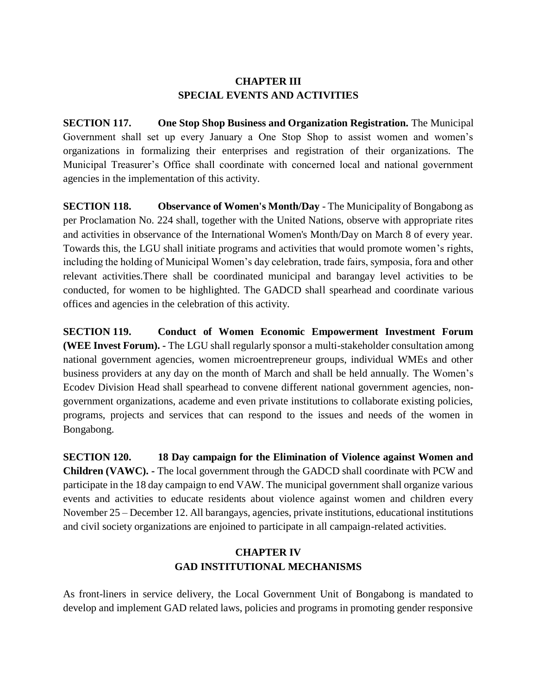### **CHAPTER III SPECIAL EVENTS AND ACTIVITIES**

**SECTION 117. One Stop Shop Business and Organization Registration.** The Municipal Government shall set up every January a One Stop Shop to assist women and women's organizations in formalizing their enterprises and registration of their organizations. The Municipal Treasurer's Office shall coordinate with concerned local and national government agencies in the implementation of this activity.

**SECTION 118. Observance of Women's Month/Day** - The Municipality of Bongabong as per Proclamation No. 224 shall, together with the United Nations, observe with appropriate rites and activities in observance of the International Women's Month/Day on March 8 of every year. Towards this, the LGU shall initiate programs and activities that would promote women's rights, including the holding of Municipal Women's day celebration, trade fairs, symposia, fora and other relevant activities.There shall be coordinated municipal and barangay level activities to be conducted, for women to be highlighted. The GADCD shall spearhead and coordinate various offices and agencies in the celebration of this activity.

**SECTION 119. Conduct of Women Economic Empowerment Investment Forum (WEE Invest Forum). -** The LGU shall regularly sponsor a multi-stakeholder consultation among national government agencies, women microentrepreneur groups, individual WMEs and other business providers at any day on the month of March and shall be held annually. The Women's Ecodev Division Head shall spearhead to convene different national government agencies, nongovernment organizations, academe and even private institutions to collaborate existing policies, programs, projects and services that can respond to the issues and needs of the women in Bongabong.

**SECTION 120. 18 Day campaign for the Elimination of Violence against Women and Children (VAWC). -** The local government through the GADCD shall coordinate with PCW and participate in the 18 day campaign to end VAW. The municipal government shall organize various events and activities to educate residents about violence against women and children every November 25 – December 12. All barangays, agencies, private institutions, educational institutions and civil society organizations are enjoined to participate in all campaign-related activities.

# **CHAPTER IV GAD INSTITUTIONAL MECHANISMS**

As front-liners in service delivery, the Local Government Unit of Bongabong is mandated to develop and implement GAD related laws, policies and programs in promoting gender responsive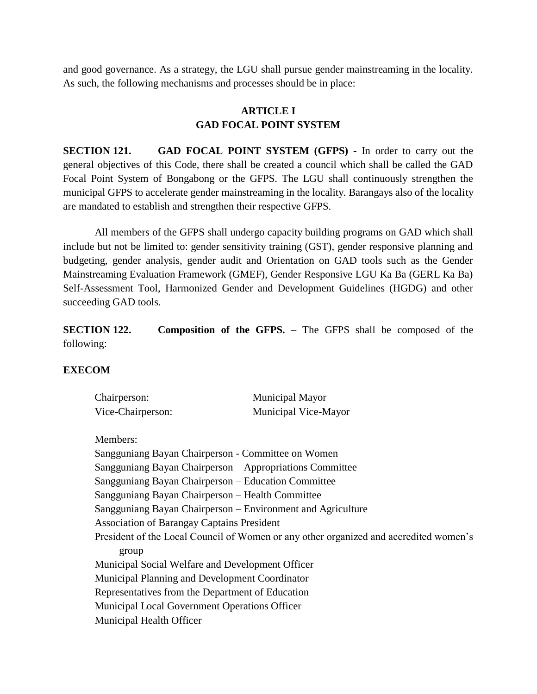and good governance. As a strategy, the LGU shall pursue gender mainstreaming in the locality. As such, the following mechanisms and processes should be in place:

# **ARTICLE I GAD FOCAL POINT SYSTEM**

**SECTION 121. GAD FOCAL POINT SYSTEM (GFPS) -** In order to carry out the general objectives of this Code, there shall be created a council which shall be called the GAD Focal Point System of Bongabong or the GFPS. The LGU shall continuously strengthen the municipal GFPS to accelerate gender mainstreaming in the locality. Barangays also of the locality are mandated to establish and strengthen their respective GFPS.

All members of the GFPS shall undergo capacity building programs on GAD which shall include but not be limited to: gender sensitivity training (GST), gender responsive planning and budgeting, gender analysis, gender audit and Orientation on GAD tools such as the Gender Mainstreaming Evaluation Framework (GMEF), Gender Responsive LGU Ka Ba (GERL Ka Ba) Self-Assessment Tool, Harmonized Gender and Development Guidelines (HGDG) and other succeeding GAD tools.

**SECTION 122. Composition of the GFPS.** – The GFPS shall be composed of the following:

### **EXECOM**

| Chairperson:      | <b>Municipal Mayor</b> |
|-------------------|------------------------|
| Vice-Chairperson: | Municipal Vice-Mayor   |

Members:

Sangguniang Bayan Chairperson - Committee on Women Sangguniang Bayan Chairperson – Appropriations Committee Sangguniang Bayan Chairperson – Education Committee Sangguniang Bayan Chairperson – Health Committee Sangguniang Bayan Chairperson – Environment and Agriculture Association of Barangay Captains President President of the Local Council of Women or any other organized and accredited women's group Municipal Social Welfare and Development Officer Municipal Planning and Development Coordinator Representatives from the Department of Education Municipal Local Government Operations Officer Municipal Health Officer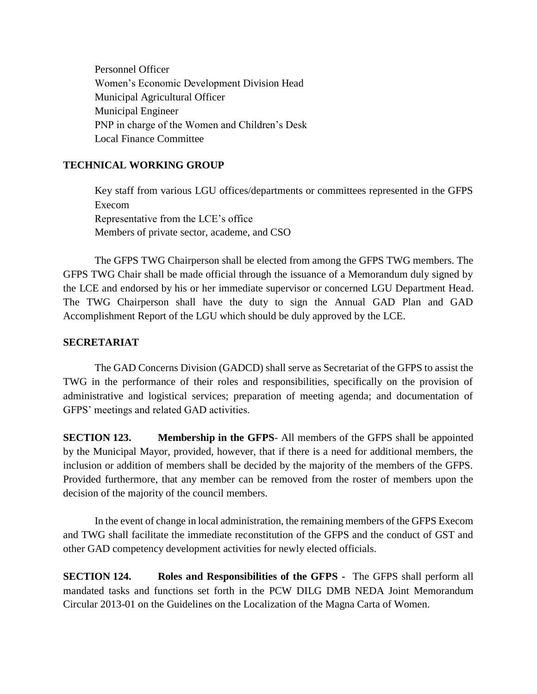Personnel Officer Women's Economic Development Division Head Municipal Agricultural Officer Municipal Engineer PNP in charge of the Women and Children's Desk Local Finance Committee

#### **TECHNICAL WORKING GROUP**

Key staff from various LGU offices/departments or committees represented in the GFPS Execom Representative from the LCE's office Members of private sector, academe, and CSO

The GFPS TWG Chairperson shall be elected from among the GFPS TWG members. The GFPS TWG Chair shall be made official through the issuance of a Memorandum duly signed by the LCE and endorsed by his or her immediate supervisor or concerned LGU Department Head. The TWG Chairperson shall have the duty to sign the Annual GAD Plan and GAD Accomplishment Report of the LGU which should be duly approved by the LCE.

#### **SECRETARIAT**

The GAD Concerns Division (GADCD) shall serve as Secretariat of the GFPS to assist the TWG in the performance of their roles and responsibilities, specifically on the provision of administrative and logistical services; preparation of meeting agenda; and documentation of GFPS' meetings and related GAD activities.

**SECTION 123. Membership in the GFPS**- All members of the GFPS shall be appointed by the Municipal Mayor, provided, however, that if there is a need for additional members, the inclusion or addition of members shall be decided by the majority of the members of the GFPS. Provided furthermore, that any member can be removed from the roster of members upon the decision of the majority of the council members.

In the event of change in local administration, the remaining members of the GFPS Execom and TWG shall facilitate the immediate reconstitution of the GFPS and the conduct of GST and other GAD competency development activities for newly elected officials.

**SECTION 124. Roles and Responsibilities of the GFPS -** The GFPS shall perform all mandated tasks and functions set forth in the PCW DILG DMB NEDA Joint Memorandum Circular 2013-01 on the Guidelines on the Localization of the Magna Carta of Women.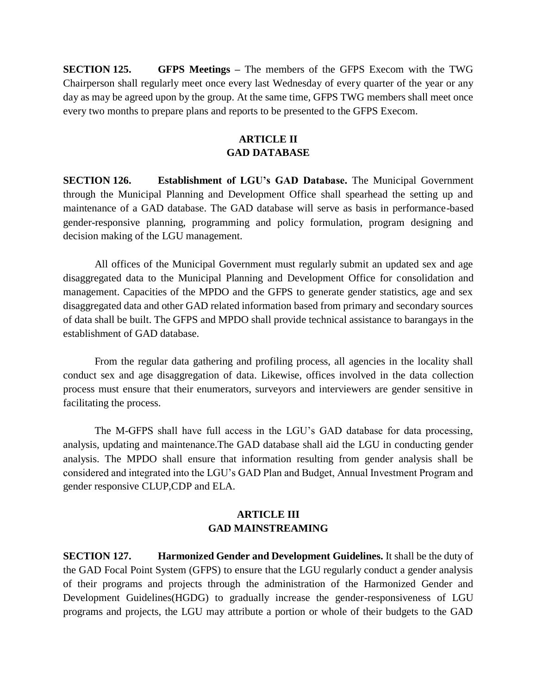**SECTION 125. GFPS Meetings –** The members of the GFPS Execom with the TWG Chairperson shall regularly meet once every last Wednesday of every quarter of the year or any day as may be agreed upon by the group. At the same time, GFPS TWG members shall meet once every two months to prepare plans and reports to be presented to the GFPS Execom.

### **ARTICLE II GAD DATABASE**

**SECTION 126. Establishment of LGU's GAD Database.** The Municipal Government through the Municipal Planning and Development Office shall spearhead the setting up and maintenance of a GAD database. The GAD database will serve as basis in performance-based gender-responsive planning, programming and policy formulation, program designing and decision making of the LGU management.

All offices of the Municipal Government must regularly submit an updated sex and age disaggregated data to the Municipal Planning and Development Office for consolidation and management. Capacities of the MPDO and the GFPS to generate gender statistics, age and sex disaggregated data and other GAD related information based from primary and secondary sources of data shall be built. The GFPS and MPDO shall provide technical assistance to barangays in the establishment of GAD database.

From the regular data gathering and profiling process, all agencies in the locality shall conduct sex and age disaggregation of data. Likewise, offices involved in the data collection process must ensure that their enumerators, surveyors and interviewers are gender sensitive in facilitating the process.

The M-GFPS shall have full access in the LGU's GAD database for data processing, analysis, updating and maintenance.The GAD database shall aid the LGU in conducting gender analysis. The MPDO shall ensure that information resulting from gender analysis shall be considered and integrated into the LGU's GAD Plan and Budget, Annual Investment Program and gender responsive CLUP,CDP and ELA.

### **ARTICLE III GAD MAINSTREAMING**

**SECTION 127. Harmonized Gender and Development Guidelines.** It shall be the duty of the GAD Focal Point System (GFPS) to ensure that the LGU regularly conduct a gender analysis of their programs and projects through the administration of the Harmonized Gender and Development Guidelines(HGDG) to gradually increase the gender-responsiveness of LGU programs and projects, the LGU may attribute a portion or whole of their budgets to the GAD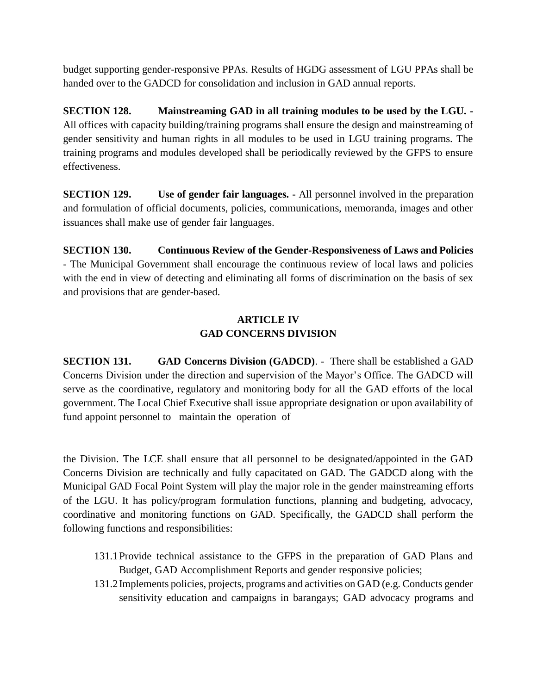budget supporting gender-responsive PPAs. Results of HGDG assessment of LGU PPAs shall be handed over to the GADCD for consolidation and inclusion in GAD annual reports.

**SECTION 128. Mainstreaming GAD in all training modules to be used by the LGU. -** All offices with capacity building/training programs shall ensure the design and mainstreaming of gender sensitivity and human rights in all modules to be used in LGU training programs. The training programs and modules developed shall be periodically reviewed by the GFPS to ensure effectiveness.

**SECTION 129. Use of gender fair languages. -** All personnel involved in the preparation and formulation of official documents, policies, communications, memoranda, images and other issuances shall make use of gender fair languages.

**SECTION 130. Continuous Review of the Gender-Responsiveness of Laws and Policies** - The Municipal Government shall encourage the continuous review of local laws and policies with the end in view of detecting and eliminating all forms of discrimination on the basis of sex and provisions that are gender-based.

### **ARTICLE IV GAD CONCERNS DIVISION**

**SECTION 131. GAD Concerns Division (GADCD)**. - There shall be established a GAD Concerns Division under the direction and supervision of the Mayor's Office. The GADCD will serve as the coordinative, regulatory and monitoring body for all the GAD efforts of the local government. The Local Chief Executive shall issue appropriate designation or upon availability of fund appoint personnel to maintain the operation of

the Division. The LCE shall ensure that all personnel to be designated/appointed in the GAD Concerns Division are technically and fully capacitated on GAD. The GADCD along with the Municipal GAD Focal Point System will play the major role in the gender mainstreaming efforts of the LGU. It has policy/program formulation functions, planning and budgeting, advocacy, coordinative and monitoring functions on GAD. Specifically, the GADCD shall perform the following functions and responsibilities:

- 131.1Provide technical assistance to the GFPS in the preparation of GAD Plans and Budget, GAD Accomplishment Reports and gender responsive policies;
- 131.2Implements policies, projects, programs and activities on GAD (e.g. Conducts gender sensitivity education and campaigns in barangays; GAD advocacy programs and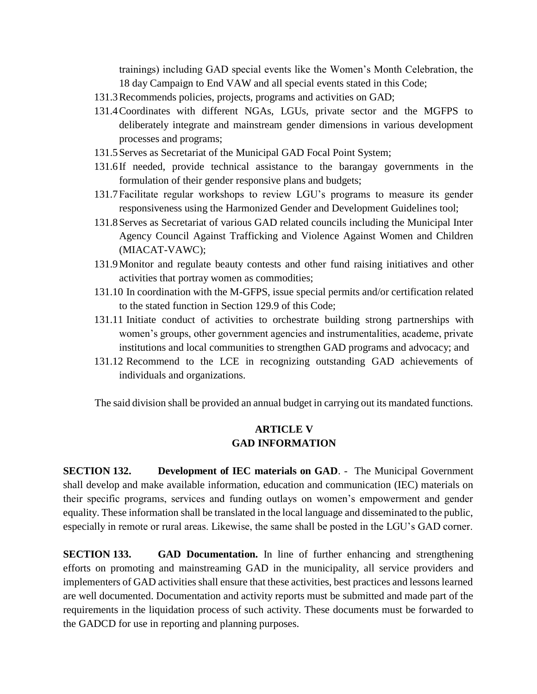trainings) including GAD special events like the Women's Month Celebration, the 18 day Campaign to End VAW and all special events stated in this Code;

- 131.3Recommends policies, projects, programs and activities on GAD;
- 131.4Coordinates with different NGAs, LGUs, private sector and the MGFPS to deliberately integrate and mainstream gender dimensions in various development processes and programs;
- 131.5Serves as Secretariat of the Municipal GAD Focal Point System;
- 131.6If needed, provide technical assistance to the barangay governments in the formulation of their gender responsive plans and budgets;
- 131.7Facilitate regular workshops to review LGU's programs to measure its gender responsiveness using the Harmonized Gender and Development Guidelines tool;
- 131.8Serves as Secretariat of various GAD related councils including the Municipal Inter Agency Council Against Trafficking and Violence Against Women and Children (MIACAT-VAWC);
- 131.9Monitor and regulate beauty contests and other fund raising initiatives and other activities that portray women as commodities;
- 131.10 In coordination with the M-GFPS, issue special permits and/or certification related to the stated function in Section 129.9 of this Code;
- 131.11 Initiate conduct of activities to orchestrate building strong partnerships with women's groups, other government agencies and instrumentalities, academe, private institutions and local communities to strengthen GAD programs and advocacy; and
- 131.12 Recommend to the LCE in recognizing outstanding GAD achievements of individuals and organizations.

The said division shall be provided an annual budget in carrying out its mandated functions.

### **ARTICLE V GAD INFORMATION**

**SECTION 132. Development of IEC materials on GAD**. - The Municipal Government shall develop and make available information, education and communication (IEC) materials on their specific programs, services and funding outlays on women's empowerment and gender equality. These information shall be translated in the local language and disseminated to the public, especially in remote or rural areas. Likewise, the same shall be posted in the LGU's GAD corner.

**SECTION 133. GAD Documentation.** In line of further enhancing and strengthening efforts on promoting and mainstreaming GAD in the municipality, all service providers and implementers of GAD activities shall ensure that these activities, best practices and lessons learned are well documented. Documentation and activity reports must be submitted and made part of the requirements in the liquidation process of such activity. These documents must be forwarded to the GADCD for use in reporting and planning purposes.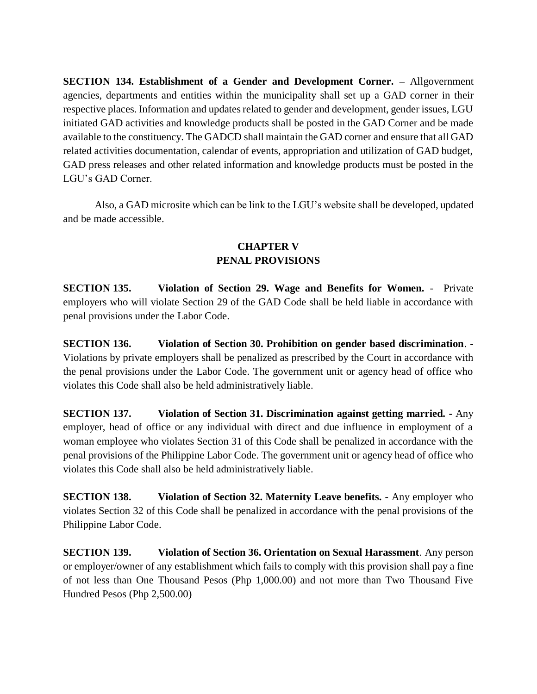**SECTION 134. Establishment of a Gender and Development Corner. –** Allgovernment agencies, departments and entities within the municipality shall set up a GAD corner in their respective places. Information and updates related to gender and development, gender issues, LGU initiated GAD activities and knowledge products shall be posted in the GAD Corner and be made available to the constituency. The GADCD shall maintain the GAD corner and ensure that all GAD related activities documentation, calendar of events, appropriation and utilization of GAD budget, GAD press releases and other related information and knowledge products must be posted in the LGU's GAD Corner.

Also, a GAD microsite which can be link to the LGU's website shall be developed, updated and be made accessible.

### **CHAPTER V PENAL PROVISIONS**

**SECTION 135. Violation of Section 29. Wage and Benefits for Women.** - Private employers who will violate Section 29 of the GAD Code shall be held liable in accordance with penal provisions under the Labor Code.

**SECTION 136. Violation of Section 30. Prohibition on gender based discrimination**. - Violations by private employers shall be penalized as prescribed by the Court in accordance with the penal provisions under the Labor Code. The government unit or agency head of office who violates this Code shall also be held administratively liable.

**SECTION 137. Violation of Section 31. Discrimination against getting married. -** Any employer, head of office or any individual with direct and due influence in employment of a woman employee who violates Section 31 of this Code shall be penalized in accordance with the penal provisions of the Philippine Labor Code. The government unit or agency head of office who violates this Code shall also be held administratively liable.

**SECTION 138. Violation of Section 32. Maternity Leave benefits. -** Any employer who violates Section 32 of this Code shall be penalized in accordance with the penal provisions of the Philippine Labor Code.

**SECTION 139. Violation of Section 36. Orientation on Sexual Harassment**. Any person or employer/owner of any establishment which fails to comply with this provision shall pay a fine of not less than One Thousand Pesos (Php 1,000.00) and not more than Two Thousand Five Hundred Pesos (Php 2,500.00)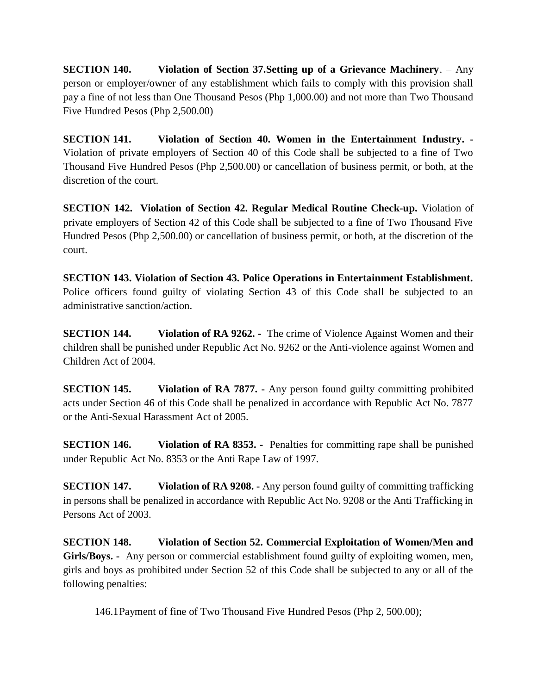**SECTION 140. Violation of Section 37.Setting up of a Grievance Machinery**. – Any person or employer/owner of any establishment which fails to comply with this provision shall pay a fine of not less than One Thousand Pesos (Php 1,000.00) and not more than Two Thousand Five Hundred Pesos (Php 2,500.00)

**SECTION 141. Violation of Section 40. Women in the Entertainment Industry. -** Violation of private employers of Section 40 of this Code shall be subjected to a fine of Two Thousand Five Hundred Pesos (Php 2,500.00) or cancellation of business permit, or both, at the discretion of the court.

**SECTION 142. Violation of Section 42. Regular Medical Routine Check-up.** Violation of private employers of Section 42 of this Code shall be subjected to a fine of Two Thousand Five Hundred Pesos (Php 2,500.00) or cancellation of business permit, or both, at the discretion of the court.

**SECTION 143. Violation of Section 43. Police Operations in Entertainment Establishment.** Police officers found guilty of violating Section 43 of this Code shall be subjected to an administrative sanction/action.

**SECTION 144.** Violation of RA 9262. - The crime of Violence Against Women and their children shall be punished under Republic Act No. 9262 or the Anti-violence against Women and Children Act of 2004.

**SECTION 145. Violation of RA 7877. -** Any person found guilty committing prohibited acts under Section 46 of this Code shall be penalized in accordance with Republic Act No. 7877 or the Anti-Sexual Harassment Act of 2005.

**SECTION 146. Violation of RA 8353. -** Penalties for committing rape shall be punished under Republic Act No. 8353 or the Anti Rape Law of 1997.

**SECTION 147. Violation of RA 9208. -** Any person found guilty of committing trafficking in persons shall be penalized in accordance with Republic Act No. 9208 or the Anti Trafficking in Persons Act of 2003.

**SECTION 148. Violation of Section 52. Commercial Exploitation of Women/Men and Girls/Boys. -** Any person or commercial establishment found guilty of exploiting women, men, girls and boys as prohibited under Section 52 of this Code shall be subjected to any or all of the following penalties:

146.1Payment of fine of Two Thousand Five Hundred Pesos (Php 2, 500.00);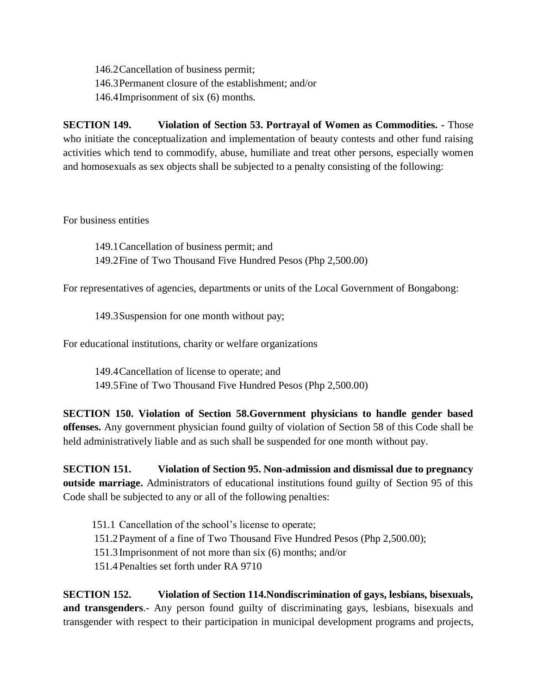146.2Cancellation of business permit; 146.3Permanent closure of the establishment; and/or 146.4Imprisonment of six (6) months.

**SECTION 149. Violation of Section 53. Portrayal of Women as Commodities. -** Those who initiate the conceptualization and implementation of beauty contests and other fund raising activities which tend to commodify, abuse, humiliate and treat other persons, especially women and homosexuals as sex objects shall be subjected to a penalty consisting of the following:

For business entities

149.1Cancellation of business permit; and 149.2Fine of Two Thousand Five Hundred Pesos (Php 2,500.00)

For representatives of agencies, departments or units of the Local Government of Bongabong:

149.3Suspension for one month without pay;

For educational institutions, charity or welfare organizations

149.4Cancellation of license to operate; and 149.5Fine of Two Thousand Five Hundred Pesos (Php 2,500.00)

**SECTION 150. Violation of Section 58.Government physicians to handle gender based offenses.** Any government physician found guilty of violation of Section 58 of this Code shall be held administratively liable and as such shall be suspended for one month without pay.

**SECTION 151. Violation of Section 95. Non-admission and dismissal due to pregnancy outside marriage.** Administrators of educational institutions found guilty of Section 95 of this Code shall be subjected to any or all of the following penalties:

- 151.1 Cancellation of the school's license to operate;
- 151.2Payment of a fine of Two Thousand Five Hundred Pesos (Php 2,500.00);
- 151.3Imprisonment of not more than six (6) months; and/or
- 151.4Penalties set forth under RA 9710

**SECTION 152. Violation of Section 114.Nondiscrimination of gays, lesbians, bisexuals, and transgenders**.- Any person found guilty of discriminating gays, lesbians, bisexuals and transgender with respect to their participation in municipal development programs and projects,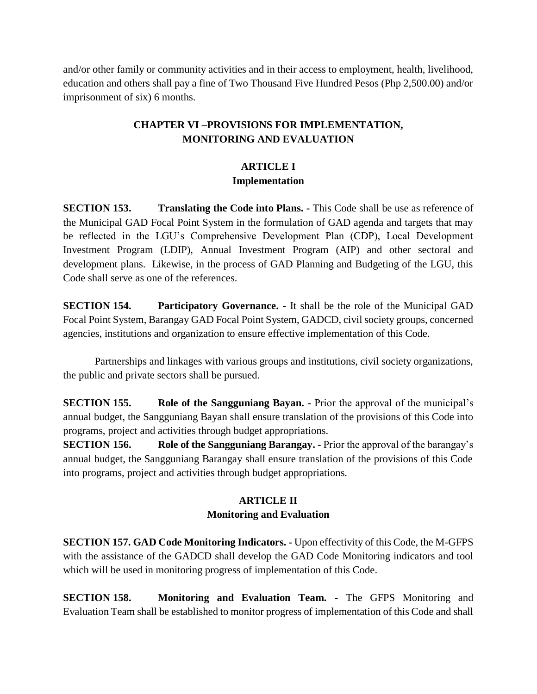and/or other family or community activities and in their access to employment, health, livelihood, education and others shall pay a fine of Two Thousand Five Hundred Pesos (Php 2,500.00) and/or imprisonment of six) 6 months.

# **CHAPTER VI –PROVISIONS FOR IMPLEMENTATION, MONITORING AND EVALUATION**

### **ARTICLE I Implementation**

**SECTION 153. Translating the Code into Plans. -** This Code shall be use as reference of the Municipal GAD Focal Point System in the formulation of GAD agenda and targets that may be reflected in the LGU's Comprehensive Development Plan (CDP), Local Development Investment Program (LDIP), Annual Investment Program (AIP) and other sectoral and development plans. Likewise, in the process of GAD Planning and Budgeting of the LGU, this Code shall serve as one of the references.

**SECTION 154. Participatory Governance. -** It shall be the role of the Municipal GAD Focal Point System, Barangay GAD Focal Point System, GADCD, civil society groups, concerned agencies, institutions and organization to ensure effective implementation of this Code.

Partnerships and linkages with various groups and institutions, civil society organizations, the public and private sectors shall be pursued.

**SECTION 155. Role of the Sangguniang Bayan.** - Prior the approval of the municipal's annual budget, the Sangguniang Bayan shall ensure translation of the provisions of this Code into programs, project and activities through budget appropriations.

**SECTION 156. Role of the Sangguniang Barangay. -** Prior the approval of the barangay's annual budget, the Sangguniang Barangay shall ensure translation of the provisions of this Code into programs, project and activities through budget appropriations.

# **ARTICLE II Monitoring and Evaluation**

**SECTION 157. GAD Code Monitoring Indicators. -** Upon effectivity of this Code, the M-GFPS with the assistance of the GADCD shall develop the GAD Code Monitoring indicators and tool which will be used in monitoring progress of implementation of this Code.

**SECTION 158. Monitoring and Evaluation Team. -** The GFPS Monitoring and Evaluation Team shall be established to monitor progress of implementation of this Code and shall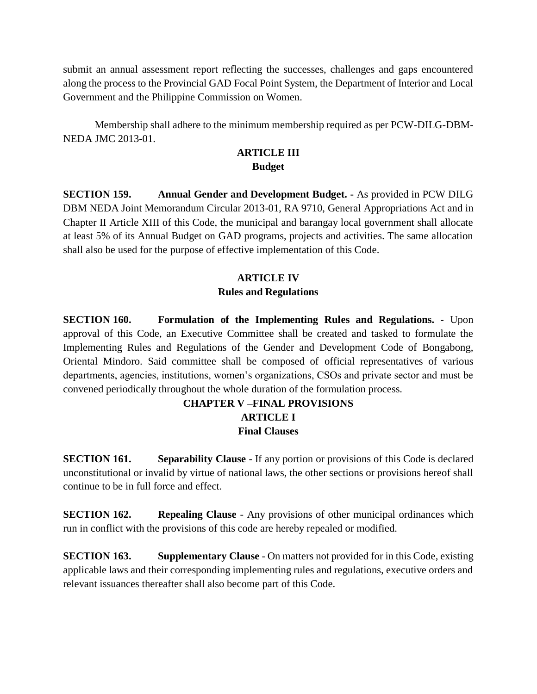submit an annual assessment report reflecting the successes, challenges and gaps encountered along the process to the Provincial GAD Focal Point System, the Department of Interior and Local Government and the Philippine Commission on Women.

Membership shall adhere to the minimum membership required as per PCW-DILG-DBM-NEDA JMC 2013-01.

#### **ARTICLE III Budget**

**SECTION 159. Annual Gender and Development Budget. -** As provided in PCW DILG DBM NEDA Joint Memorandum Circular 2013-01, RA 9710, General Appropriations Act and in Chapter II Article XIII of this Code, the municipal and barangay local government shall allocate at least 5% of its Annual Budget on GAD programs, projects and activities. The same allocation shall also be used for the purpose of effective implementation of this Code.

### **ARTICLE IV Rules and Regulations**

**SECTION 160. Formulation of the Implementing Rules and Regulations. -** Upon approval of this Code, an Executive Committee shall be created and tasked to formulate the Implementing Rules and Regulations of the Gender and Development Code of Bongabong, Oriental Mindoro. Said committee shall be composed of official representatives of various departments, agencies, institutions, women's organizations, CSOs and private sector and must be convened periodically throughout the whole duration of the formulation process.

# **CHAPTER V –FINAL PROVISIONS ARTICLE I Final Clauses**

**SECTION 161. Separability Clause** - If any portion or provisions of this Code is declared unconstitutional or invalid by virtue of national laws, the other sections or provisions hereof shall continue to be in full force and effect.

**SECTION 162. Repealing Clause** - Any provisions of other municipal ordinances which run in conflict with the provisions of this code are hereby repealed or modified.

**SECTION 163. Supplementary Clause** - On matters not provided for in this Code, existing applicable laws and their corresponding implementing rules and regulations, executive orders and relevant issuances thereafter shall also become part of this Code.